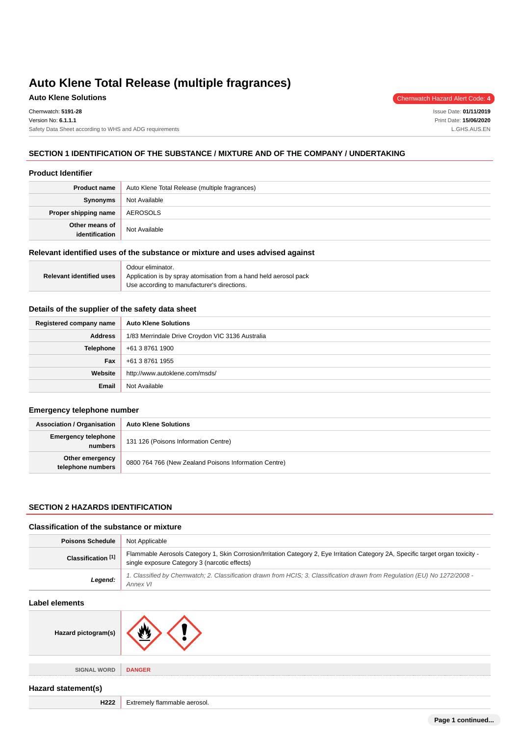# **Auto Klene Solutions** Chemwatch Hazard Alert Code: 4

Issue Date: **01/11/2019** Print Date: **15/06/2020** L.GHS.AUS.EN

## **SECTION 1 IDENTIFICATION OF THE SUBSTANCE / MIXTURE AND OF THE COMPANY / UNDERTAKING**

#### **Product Identifier**

| <b>Product name</b>              | Auto Klene Total Release (multiple fragrances) |
|----------------------------------|------------------------------------------------|
| Synonyms                         | Not Available                                  |
| Proper shipping name             | AEROSOLS                                       |
| Other means of<br>identification | Not Available                                  |

## **Relevant identified uses of the substance or mixture and uses advised against**

|                                 | Odour eliminator.                                                 |  |
|---------------------------------|-------------------------------------------------------------------|--|
| <b>Relevant identified uses</b> | Application is by spray atomisation from a hand held aerosol pack |  |
|                                 | Use according to manufacturer's directions.                       |  |

#### **Details of the supplier of the safety data sheet**

| Registered company name | <b>Auto Klene Solutions</b>                      |
|-------------------------|--------------------------------------------------|
| <b>Address</b>          | 1/83 Merrindale Drive Croydon VIC 3136 Australia |
| Telephone               | +61 3 8761 1900                                  |
| Fax                     | +61 3 8761 1955                                  |
| Website                 | http://www.autoklene.com/msds/                   |
| <b>Email</b>            | Not Available                                    |

## **Emergency telephone number**

| <b>Association / Organisation</b>    | <b>Auto Klene Solutions</b>                           |
|--------------------------------------|-------------------------------------------------------|
| Emergency telephone<br>numbers       | 131 126 (Poisons Information Centre)                  |
| Other emergency<br>telephone numbers | 0800 764 766 (New Zealand Poisons Information Centre) |

## **SECTION 2 HAZARDS IDENTIFICATION**

#### **Classification of the substance or mixture**

| <b>Poisons Schedule</b> | Not Applicable                                                                                                                                                                     |
|-------------------------|------------------------------------------------------------------------------------------------------------------------------------------------------------------------------------|
| Classification [1]      | Flammable Aerosols Category 1, Skin Corrosion/Irritation Category 2, Eye Irritation Category 2A, Specific target organ toxicity -<br>single exposure Category 3 (narcotic effects) |
| Legend:                 | 1. Classified by Chemwatch; 2. Classification drawn from HCIS; 3. Classification drawn from Regulation (EU) No 1272/2008 -<br>Annex VI                                             |

#### **Label elements**

| Hazard pictogram(s) |  |
|---------------------|--|
|---------------------|--|

**SIGNAL WORD DANGER**

## **Hazard statement(s)**

**H222** Extremely flammable aerosol.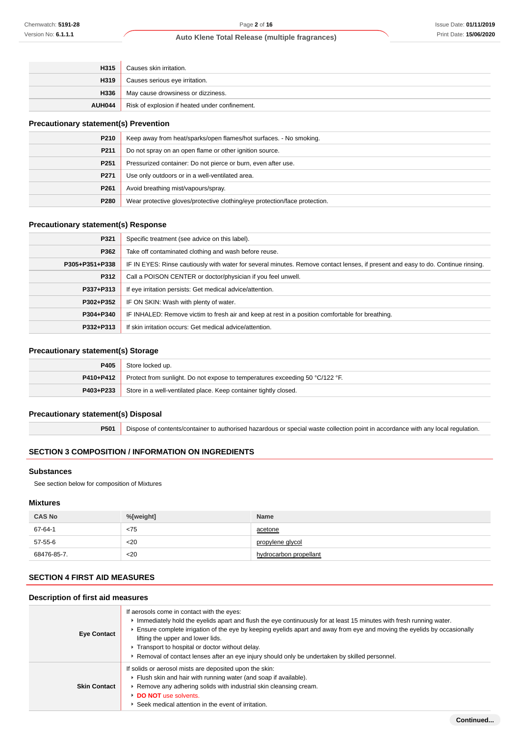## Issue Date: **01/11/2019** Print Date: **15/06/2020**

## **Auto Klene Total Release (multiple fragrances)**

| H315   | Causes skin irritation.                        |
|--------|------------------------------------------------|
| H319   | Causes serious eye irritation.                 |
| H336   | May cause drowsiness or dizziness.             |
| AUH044 | Risk of explosion if heated under confinement. |

## **Precautionary statement(s) Prevention**

| P210             | Keep away from heat/sparks/open flames/hot surfaces. - No smoking.         |
|------------------|----------------------------------------------------------------------------|
| P <sub>211</sub> | Do not spray on an open flame or other ignition source.                    |
| P <sub>251</sub> | Pressurized container: Do not pierce or burn, even after use.              |
| P <sub>271</sub> | Use only outdoors or in a well-ventilated area.                            |
| P <sub>261</sub> | Avoid breathing mist/vapours/spray.                                        |
| P280             | Wear protective gloves/protective clothing/eye protection/face protection. |

## **Precautionary statement(s) Response**

| P321           | Specific treatment (see advice on this label).                                                                                   |
|----------------|----------------------------------------------------------------------------------------------------------------------------------|
| P362           | Take off contaminated clothing and wash before reuse.                                                                            |
| P305+P351+P338 | IF IN EYES: Rinse cautiously with water for several minutes. Remove contact lenses, if present and easy to do. Continue rinsing. |
| P312           | Call a POISON CENTER or doctor/physician if you feel unwell.                                                                     |
| P337+P313      | If eye irritation persists: Get medical advice/attention.                                                                        |
| P302+P352      | IF ON SKIN: Wash with plenty of water.                                                                                           |
| P304+P340      | IF INHALED: Remove victim to fresh air and keep at rest in a position comfortable for breathing.                                 |
| P332+P313      | If skin irritation occurs: Get medical advice/attention.                                                                         |

## **Precautionary statement(s) Storage**

| P405      | Store locked up.                                                                              |
|-----------|-----------------------------------------------------------------------------------------------|
|           | <b>P410+P412</b> Protect from sunlight. Do not expose to temperatures exceeding 50 °C/122 °F. |
| P403+P233 | Store in a well-ventilated place. Keep container tightly closed.                              |

## **Precautionary statement(s) Disposal**

**P501** Dispose of contents/container to authorised hazardous or special waste collection point in accordance with any local regulation.

## **SECTION 3 COMPOSITION / INFORMATION ON INGREDIENTS**

## **Substances**

See section below for composition of Mixtures

#### **Mixtures**

| <b>CAS No</b> | %[weight] | <b>Name</b>            |
|---------------|-----------|------------------------|
| 67-64-1       | < 75      | acetone                |
| 57-55-6       | $20$      | propylene glycol       |
| 68476-85-7.   | $20$      | hydrocarbon propellant |

## **SECTION 4 FIRST AID MEASURES**

| Description of first aid measures |                                                                                                                                                                                                                                                                                                                                                                                                                                                                                        |  |
|-----------------------------------|----------------------------------------------------------------------------------------------------------------------------------------------------------------------------------------------------------------------------------------------------------------------------------------------------------------------------------------------------------------------------------------------------------------------------------------------------------------------------------------|--|
| <b>Eye Contact</b>                | If aerosols come in contact with the eyes:<br>Immediately hold the eyelids apart and flush the eye continuously for at least 15 minutes with fresh running water.<br>Ensure complete irrigation of the eye by keeping eyelids apart and away from eye and moving the eyelids by occasionally<br>lifting the upper and lower lids.<br>Transport to hospital or doctor without delay.<br>► Removal of contact lenses after an eye injury should only be undertaken by skilled personnel. |  |
| <b>Skin Contact</b>               | If solids or aerosol mists are deposited upon the skin:<br>Flush skin and hair with running water (and soap if available).<br>▶ Remove any adhering solids with industrial skin cleansing cream.<br>DO NOT use solvents.<br>▶ Seek medical attention in the event of irritation.                                                                                                                                                                                                       |  |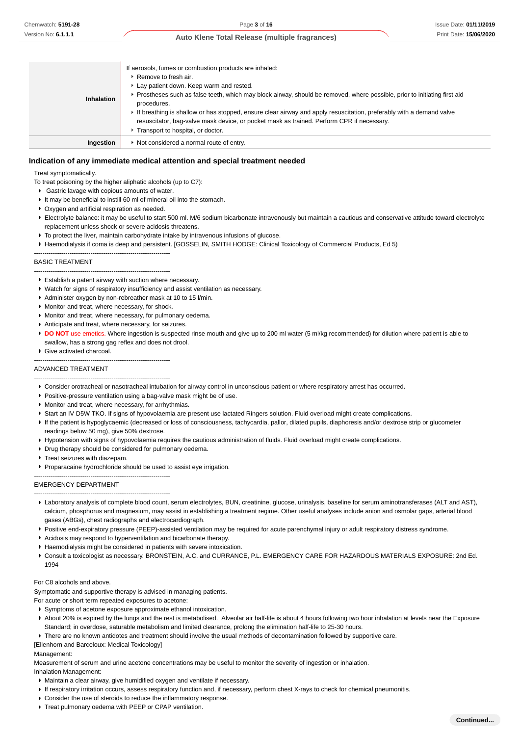| Inhalation | If aerosols, fumes or combustion products are inhaled:<br>$\triangleright$ Remove to fresh air.<br>Lay patient down. Keep warm and rested.<br>► Prostheses such as false teeth, which may block airway, should be removed, where possible, prior to initiating first aid<br>procedures.<br>If breathing is shallow or has stopped, ensure clear airway and apply resuscitation, preferably with a demand valve<br>resuscitator, bag-valve mask device, or pocket mask as trained. Perform CPR if necessary.<br>Transport to hospital, or doctor. |
|------------|--------------------------------------------------------------------------------------------------------------------------------------------------------------------------------------------------------------------------------------------------------------------------------------------------------------------------------------------------------------------------------------------------------------------------------------------------------------------------------------------------------------------------------------------------|
| Ingestion  | ▶ Not considered a normal route of entry.                                                                                                                                                                                                                                                                                                                                                                                                                                                                                                        |

#### **Indication of any immediate medical attention and special treatment needed**

Treat symptomatically.

- To treat poisoning by the higher aliphatic alcohols (up to C7):
	- Gastric lavage with copious amounts of water.
- It may be beneficial to instill 60 ml of mineral oil into the stomach.
- Oxygen and artificial respiration as needed.
- Electrolyte balance: it may be useful to start 500 ml. M/6 sodium bicarbonate intravenously but maintain a cautious and conservative attitude toward electrolyte replacement unless shock or severe acidosis threatens.
- $\triangleright$  To protect the liver, maintain carbohydrate intake by intravenous infusions of glucose.
- Haemodialysis if coma is deep and persistent. [GOSSELIN, SMITH HODGE: Clinical Toxicology of Commercial Products, Ed 5)
- -----------------------------------------------------------------

-----------------------------------------------------------------

### BASIC TREATMENT

- Establish a patent airway with suction where necessary.
- Watch for signs of respiratory insufficiency and assist ventilation as necessary.
- Administer oxygen by non-rebreather mask at 10 to 15 l/min.
- **Monitor and treat, where necessary, for shock.**
- Monitor and treat, where necessary, for pulmonary oedema.
- Anticipate and treat, where necessary, for seizures.
- **DO NOT** use emetics. Where ingestion is suspected rinse mouth and give up to 200 ml water (5 ml/kg recommended) for dilution where patient is able to swallow, has a strong gag reflex and does not drool.
- Give activated charcoal.

# ----------------------------------------------------------------- -----------------------------------------------------------------

## ADVANCED TREATMENT

- Consider orotracheal or nasotracheal intubation for airway control in unconscious patient or where respiratory arrest has occurred.
- **Positive-pressure ventilation using a bag-valve mask might be of use.**
- **Monitor and treat, where necessary, for arrhythmias.**
- Start an IV D5W TKO. If signs of hypovolaemia are present use lactated Ringers solution. Fluid overload might create complications.
- If the patient is hypoglycaemic (decreased or loss of consciousness, tachycardia, pallor, dilated pupils, diaphoresis and/or dextrose strip or glucometer readings below 50 mg), give 50% dextrose.
- Hypotension with signs of hypovolaemia requires the cautious administration of fluids. Fluid overload might create complications.
- **Drug therapy should be considered for pulmonary oedema.**
- $\blacktriangleright$  Treat seizures with diazepam.
- Proparacaine hydrochloride should be used to assist eye irrigation.
- -----------------------------------------------------------------

EMERGENCY DEPARTMENT -----------------------------------------------------------------

- Laboratory analysis of complete blood count, serum electrolytes, BUN, creatinine, glucose, urinalysis, baseline for serum aminotransferases (ALT and AST), calcium, phosphorus and magnesium, may assist in establishing a treatment regime. Other useful analyses include anion and osmolar gaps, arterial blood gases (ABGs), chest radiographs and electrocardiograph.
- Positive end-expiratory pressure (PEEP)-assisted ventilation may be required for acute parenchymal injury or adult respiratory distress syndrome.
- Acidosis may respond to hyperventilation and bicarbonate therapy.
- Haemodialysis might be considered in patients with severe intoxication.
- Consult a toxicologist as necessary. BRONSTEIN, A.C. and CURRANCE, P.L. EMERGENCY CARE FOR HAZARDOUS MATERIALS EXPOSURE: 2nd Ed. 1994

#### For C8 alcohols and above.

Symptomatic and supportive therapy is advised in managing patients.

For acute or short term repeated exposures to acetone:

- Symptoms of acetone exposure approximate ethanol intoxication.
- ▶ About 20% is expired by the lungs and the rest is metabolised. Alveolar air half-life is about 4 hours following two hour inhalation at levels near the Exposure Standard; in overdose, saturable metabolism and limited clearance, prolong the elimination half-life to 25-30 hours.
- ▶ There are no known antidotes and treatment should involve the usual methods of decontamination followed by supportive care.

[Ellenhorn and Barceloux: Medical Toxicology]

#### Management:

Measurement of serum and urine acetone concentrations may be useful to monitor the severity of ingestion or inhalation.

Inhalation Management:

- Maintain a clear airway, give humidified oxygen and ventilate if necessary.
- If respiratory irritation occurs, assess respiratory function and, if necessary, perform chest X-rays to check for chemical pneumonitis.
- Consider the use of steroids to reduce the inflammatory response.
- **F** Treat pulmonary oedema with PEEP or CPAP ventilation.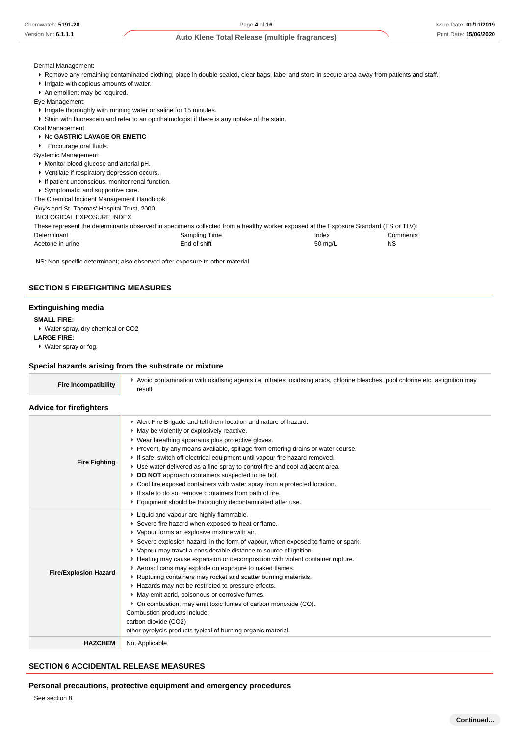Dermal Management:

- Remove any remaining contaminated clothing, place in double sealed, clear bags, label and store in secure area away from patients and staff.
- $\blacksquare$  Irrigate with copious amounts of water.
- An emollient may be required.
- Eye Management:
	- If Irrigate thoroughly with running water or saline for 15 minutes.
- Stain with fluorescein and refer to an ophthalmologist if there is any uptake of the stain.

Oral Management:

- No **GASTRIC LAVAGE OR EMETIC**
- **Encourage oral fluids.**

Systemic Management:

- Monitor blood glucose and arterial pH.
- Ventilate if respiratory depression occurs.
- If patient unconscious, monitor renal function.
- Symptomatic and supportive care.

The Chemical Incident Management Handbook:

Guy's and St. Thomas' Hospital Trust, 2000

BIOLOGICAL EXPOSURE INDEX

These represent the determinants observed in specimens collected from a healthy worker exposed at the Exposure Standard (ES or TLV): Determinant Comments Comments Comments Sampling Time **Index** Index Comments Acetone in urine **Acetone in urine 1998** Change End of shift **Acetone in urine 1998** Change End of shift **Acetone** in urine 1998 NS

NS: Non-specific determinant; also observed after exposure to other material

## **SECTION 5 FIREFIGHTING MEASURES**

#### **Extinguishing media**

**SMALL FIRE:**

Water spray, dry chemical or CO2

**LARGE FIRE:**

Water spray or fog.

#### **Special hazards arising from the substrate or mixture**

| <b>Fire Incompatibility</b> | Avoid contamination with oxidising agents i.e. nitrates, oxidising acids, chlorine bleaches, pool chlorine etc. as ignition may<br>result |
|-----------------------------|-------------------------------------------------------------------------------------------------------------------------------------------|
|                             |                                                                                                                                           |

## **Advice for firefighters**

| <b>Fire Fighting</b>         | Alert Fire Brigade and tell them location and nature of hazard.<br>• May be violently or explosively reactive.<br>• Wear breathing apparatus plus protective gloves.<br>▶ Prevent, by any means available, spillage from entering drains or water course.<br>If safe, switch off electrical equipment until vapour fire hazard removed.<br>► Use water delivered as a fine spray to control fire and cool adjacent area.<br>DO NOT approach containers suspected to be hot.<br>• Cool fire exposed containers with water spray from a protected location.<br>If safe to do so, remove containers from path of fire.<br>Equipment should be thoroughly decontaminated after use.                                                                                                                                               |
|------------------------------|-------------------------------------------------------------------------------------------------------------------------------------------------------------------------------------------------------------------------------------------------------------------------------------------------------------------------------------------------------------------------------------------------------------------------------------------------------------------------------------------------------------------------------------------------------------------------------------------------------------------------------------------------------------------------------------------------------------------------------------------------------------------------------------------------------------------------------|
| <b>Fire/Explosion Hazard</b> | Liquid and vapour are highly flammable.<br>▶ Severe fire hazard when exposed to heat or flame.<br>• Vapour forms an explosive mixture with air.<br>Severe explosion hazard, in the form of vapour, when exposed to flame or spark.<br>▶ Vapour may travel a considerable distance to source of ignition.<br>► Heating may cause expansion or decomposition with violent container rupture.<br>Aerosol cans may explode on exposure to naked flames.<br>▶ Rupturing containers may rocket and scatter burning materials.<br>▶ Hazards may not be restricted to pressure effects.<br>• May emit acrid, poisonous or corrosive fumes.<br>• On combustion, may emit toxic fumes of carbon monoxide (CO).<br>Combustion products include:<br>carbon dioxide (CO2)<br>other pyrolysis products typical of burning organic material. |
| <b>HAZCHEM</b>               | Not Applicable                                                                                                                                                                                                                                                                                                                                                                                                                                                                                                                                                                                                                                                                                                                                                                                                                |

## **SECTION 6 ACCIDENTAL RELEASE MEASURES**

## **Personal precautions, protective equipment and emergency procedures**

See section 8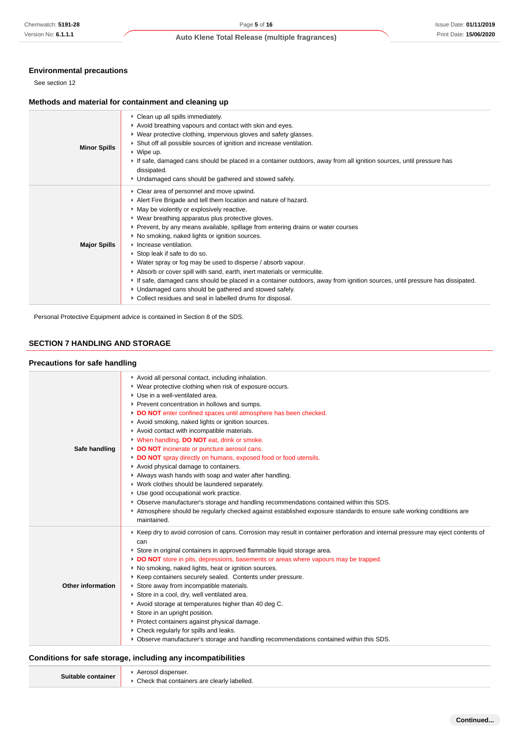## **Environmental precautions**

## **Methods and material for containment and cleaning up**

| <b>Minor Spills</b> | • Clean up all spills immediately.<br>Avoid breathing vapours and contact with skin and eyes.<br>• Wear protective clothing, impervious gloves and safety glasses.<br>• Shut off all possible sources of ignition and increase ventilation.<br>$\cdot$ Wipe up.<br>If safe, damaged cans should be placed in a container outdoors, away from all ignition sources, until pressure has<br>dissipated.<br>• Undamaged cans should be gathered and stowed safely.                                                                                                                                                                                                                                                                                                                                                        |
|---------------------|-----------------------------------------------------------------------------------------------------------------------------------------------------------------------------------------------------------------------------------------------------------------------------------------------------------------------------------------------------------------------------------------------------------------------------------------------------------------------------------------------------------------------------------------------------------------------------------------------------------------------------------------------------------------------------------------------------------------------------------------------------------------------------------------------------------------------|
| <b>Major Spills</b> | • Clear area of personnel and move upwind.<br>Alert Fire Brigade and tell them location and nature of hazard.<br>• May be violently or explosively reactive.<br>• Wear breathing apparatus plus protective gloves.<br>▶ Prevent, by any means available, spillage from entering drains or water courses<br>• No smoking, naked lights or ignition sources.<br>Increase ventilation.<br>Stop leak if safe to do so.<br>• Water spray or fog may be used to disperse / absorb vapour.<br>Absorb or cover spill with sand, earth, inert materials or vermiculite.<br>If safe, damaged cans should be placed in a container outdoors, away from ignition sources, until pressure has dissipated.<br>• Undamaged cans should be gathered and stowed safely.<br>• Collect residues and seal in labelled drums for disposal. |

## **SECTION 7 HANDLING AND STORAGE**

## **Precautions for safe handling**

| Chemwatch: 5191-28                   | Page 5 of 16<br>Issue Date: 01/11/2019                                                                                                                                                                          |
|--------------------------------------|-----------------------------------------------------------------------------------------------------------------------------------------------------------------------------------------------------------------|
| Version No: 6.1.1.1                  | Print Date: 15/06/2020<br>Auto Klene Total Release (multiple fragrances)                                                                                                                                        |
|                                      |                                                                                                                                                                                                                 |
| <b>Environmental precautions</b>     |                                                                                                                                                                                                                 |
| See section 12                       |                                                                                                                                                                                                                 |
|                                      | Methods and material for containment and cleaning up                                                                                                                                                            |
|                                      | Clean up all spills immediately.                                                                                                                                                                                |
|                                      | Avoid breathing vapours and contact with skin and eyes.<br>▶ Wear protective clothing, impervious gloves and safety glasses.                                                                                    |
| <b>Minor Spills</b>                  | Shut off all possible sources of ignition and increase ventilation.                                                                                                                                             |
|                                      | $\bullet$ Wipe up.<br>If safe, damaged cans should be placed in a container outdoors, away from all ignition sources, until pressure has                                                                        |
|                                      | dissipated.                                                                                                                                                                                                     |
|                                      | • Undamaged cans should be gathered and stowed safely.                                                                                                                                                          |
|                                      | Clear area of personnel and move upwind.<br>Alert Fire Brigade and tell them location and nature of hazard.                                                                                                     |
|                                      | • May be violently or explosively reactive.                                                                                                                                                                     |
|                                      | ▶ Wear breathing apparatus plus protective gloves.<br>▶ Prevent, by any means available, spillage from entering drains or water courses                                                                         |
|                                      | ▶ No smoking, naked lights or ignition sources.                                                                                                                                                                 |
| <b>Major Spills</b>                  | Increase ventilation.<br>Stop leak if safe to do so.                                                                                                                                                            |
|                                      | ► Water spray or fog may be used to disperse / absorb vapour.                                                                                                                                                   |
|                                      | Absorb or cover spill with sand, earth, inert materials or vermiculite.<br>If safe, damaged cans should be placed in a container outdoors, away from ignition sources, until pressure has dissipated.           |
|                                      | • Undamaged cans should be gathered and stowed safely.                                                                                                                                                          |
|                                      | ▶ Collect residues and seal in labelled drums for disposal.                                                                                                                                                     |
| <b>Precautions for safe handling</b> | Avoid all personal contact, including inhalation.                                                                                                                                                               |
|                                      | ▶ Wear protective clothing when risk of exposure occurs.                                                                                                                                                        |
|                                      | Use in a well-ventilated area.<br>Prevent concentration in hollows and sumps.                                                                                                                                   |
|                                      | ► DO NOT enter confined spaces until atmosphere has been checked.                                                                                                                                               |
|                                      | Avoid smoking, naked lights or ignition sources.<br>Avoid contact with incompatible materials.                                                                                                                  |
|                                      | • When handling, <b>DO NOT</b> eat, drink or smoke.                                                                                                                                                             |
| Safe handling                        | DO NOT incinerate or puncture aerosol cans.<br>DO NOT spray directly on humans, exposed food or food utensils.                                                                                                  |
|                                      | Avoid physical damage to containers.                                                                                                                                                                            |
|                                      | Always wash hands with soap and water after handling.<br>▶ Work clothes should be laundered separately.                                                                                                         |
|                                      | Use good occupational work practice.                                                                                                                                                                            |
|                                      | ▶ Observe manufacturer's storage and handling recommendations contained within this SDS.<br>Atmosphere should be regularly checked against established exposure standards to ensure safe working conditions are |
|                                      | maintained.                                                                                                                                                                                                     |
|                                      | ▶ Keep dry to avoid corrosion of cans. Corrosion may result in container perforation and internal pressure may eject contents of                                                                                |
|                                      | can<br>Store in original containers in approved flammable liquid storage area.                                                                                                                                  |
|                                      | DO NOT store in pits, depressions, basements or areas where vapours may be trapped.                                                                                                                             |
|                                      | ▶ No smoking, naked lights, heat or ignition sources.<br>▶ Keep containers securely sealed. Contents under pressure.                                                                                            |
| <b>Other information</b>             | Store away from incompatible materials.                                                                                                                                                                         |
|                                      | Store in a cool, dry, well ventilated area.<br>Avoid storage at temperatures higher than 40 deg C.                                                                                                              |
|                                      | Store in an upright position.                                                                                                                                                                                   |
|                                      | • Protect containers against physical damage.<br>Check regularly for spills and leaks.                                                                                                                          |
|                                      | ▶ Observe manufacturer's storage and handling recommendations contained within this SDS.                                                                                                                        |
|                                      | Conditions for safe storage, including any incompatibilities                                                                                                                                                    |
| Suitable container                   | Aerosol dispenser.                                                                                                                                                                                              |
|                                      | Check that containers are clearly labelled.                                                                                                                                                                     |

## **Conditions for safe storage, including any incompatibilities**

| Suitable container | Aerosol dispenser.                            |
|--------------------|-----------------------------------------------|
|                    | ▶ Check that containers are clearly labelled. |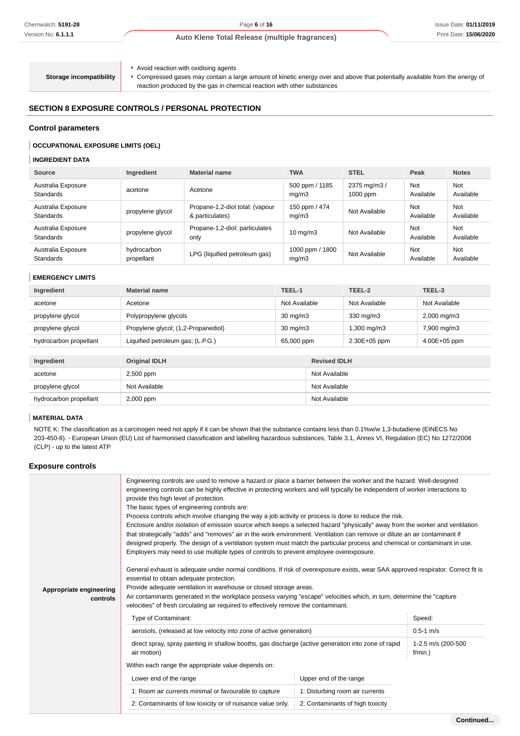**Storage incompatibility**

Avoid reaction with oxidising agents

Compressed gases may contain a large amount of kinetic energy over and above that potentially available from the energy of reaction produced by the gas in chemical reaction with other substances

## **SECTION 8 EXPOSURE CONTROLS / PERSONAL PROTECTION**

## **Control parameters**

## **OCCUPATIONAL EXPOSURE LIMITS (OEL)**

#### **INGREDIENT DATA**

| Source                                 | Ingredient                | <b>Material name</b>                               | <b>TWA</b>               | <b>STEL</b>                | Peak                    | <b>Notes</b>            |
|----------------------------------------|---------------------------|----------------------------------------------------|--------------------------|----------------------------|-------------------------|-------------------------|
| Australia Exposure<br><b>Standards</b> | acetone                   | Acetone                                            | 500 ppm / 1185<br>mq/m3  | 2375 mg/m3 /<br>$1000$ ppm | <b>Not</b><br>Available | Not<br>Available        |
| Australia Exposure<br><b>Standards</b> | propylene glycol          | Propane-1,2-diol total: (vapour<br>& particulates) | 150 ppm / 474<br>mq/m3   | Not Available              | <b>Not</b><br>Available | Not<br>Available        |
| Australia Exposure<br><b>Standards</b> | propylene glycol          | Propane-1,2-diol: particulates<br>only             | $10 \text{ ma/m}$ 3      | Not Available              | <b>Not</b><br>Available | <b>Not</b><br>Available |
| Australia Exposure<br><b>Standards</b> | hydrocarbon<br>propellant | LPG (liquified petroleum gas)                      | 1000 ppm / 1800<br>mq/m3 | Not Available              | Not<br>Available        | Not<br>Available        |

#### **EMERGENCY LIMITS**

| Ingredient             | TEEL-1<br><b>Material name</b>      |                   |                     | TEEL-2        | TEEL-3                  |
|------------------------|-------------------------------------|-------------------|---------------------|---------------|-------------------------|
| acetone                | Acetone                             | Not Available     |                     | Not Available | Not Available           |
| propylene glycol       | Polypropylene glycols               | $30 \text{ mg/m}$ |                     | 330 mg/m3     | $2,000 \,\mathrm{mg/m}$ |
| propylene glycol       | Propylene glycol; (1,2-Propanediol) | $30 \text{ mg/m}$ |                     | 1,300 mg/m3   | 7,900 mg/m3             |
| hydrocarbon propellant | Liquified petroleum gas; (L.P.G.)   | 65,000 ppm        |                     | 2.30E+05 ppm  | 4.00E+05 ppm            |
|                        |                                     |                   |                     |               |                         |
| Ingredient             | <b>Original IDLH</b>                |                   | <b>Revised IDLH</b> |               |                         |
| acetone                | 2,500 ppm                           |                   | Not Available       |               |                         |
| propylene glycol       | Not Available                       |                   | Not Available       |               |                         |
| hydrocarbon propellant | 2,000 ppm                           |                   | Not Available       |               |                         |

## **MATERIAL DATA**

NOTE K: The classification as a carcinogen need not apply if it can be shown that the substance contains less than 0.1%w/w 1,3-butadiene (EINECS No 203-450-8). - European Union (EU) List of harmonised classification and labelling hazardous substances, Table 3.1, Annex VI, Regulation (EC) No 1272/2008 (CLP) - up to the latest ATP

## **Exposure controls**

| Appropriate engineering<br>controls | Engineering controls are used to remove a hazard or place a barrier between the worker and the hazard. Well-designed<br>engineering controls can be highly effective in protecting workers and will typically be independent of worker interactions to<br>provide this high level of protection.<br>The basic types of engineering controls are:<br>Process controls which involve changing the way a job activity or process is done to reduce the risk.<br>Enclosure and/or isolation of emission source which keeps a selected hazard "physically" away from the worker and ventilation<br>that strategically "adds" and "removes" air in the work environment. Ventilation can remove or dilute an air contaminant if<br>designed properly. The design of a ventilation system must match the particular process and chemical or contaminant in use.<br>Employers may need to use multiple types of controls to prevent employee overexposure.<br>General exhaust is adequate under normal conditions. If risk of overexposure exists, wear SAA approved respirator. Correct fit is<br>essential to obtain adequate protection.<br>Provide adequate ventilation in warehouse or closed storage areas.<br>Air contaminants generated in the workplace possess varying "escape" velocities which, in turn, determine the "capture"<br>velocities" of fresh circulating air required to effectively remove the contaminant. |                                  |                                  |  |
|-------------------------------------|------------------------------------------------------------------------------------------------------------------------------------------------------------------------------------------------------------------------------------------------------------------------------------------------------------------------------------------------------------------------------------------------------------------------------------------------------------------------------------------------------------------------------------------------------------------------------------------------------------------------------------------------------------------------------------------------------------------------------------------------------------------------------------------------------------------------------------------------------------------------------------------------------------------------------------------------------------------------------------------------------------------------------------------------------------------------------------------------------------------------------------------------------------------------------------------------------------------------------------------------------------------------------------------------------------------------------------------------------------------------------------------------------------------------------|----------------------------------|----------------------------------|--|
|                                     | Type of Contaminant:                                                                                                                                                                                                                                                                                                                                                                                                                                                                                                                                                                                                                                                                                                                                                                                                                                                                                                                                                                                                                                                                                                                                                                                                                                                                                                                                                                                                         | Speed:                           |                                  |  |
|                                     | aerosols, (released at low velocity into zone of active generation)                                                                                                                                                                                                                                                                                                                                                                                                                                                                                                                                                                                                                                                                                                                                                                                                                                                                                                                                                                                                                                                                                                                                                                                                                                                                                                                                                          | $0.5 - 1$ m/s                    |                                  |  |
|                                     | direct spray, spray painting in shallow booths, gas discharge (active generation into zone of rapid<br>air motion)                                                                                                                                                                                                                                                                                                                                                                                                                                                                                                                                                                                                                                                                                                                                                                                                                                                                                                                                                                                                                                                                                                                                                                                                                                                                                                           |                                  | 1-2.5 m/s (200-500<br>$f/min.$ ) |  |
|                                     | Within each range the appropriate value depends on:                                                                                                                                                                                                                                                                                                                                                                                                                                                                                                                                                                                                                                                                                                                                                                                                                                                                                                                                                                                                                                                                                                                                                                                                                                                                                                                                                                          |                                  |                                  |  |
|                                     | Lower end of the range<br>Upper end of the range                                                                                                                                                                                                                                                                                                                                                                                                                                                                                                                                                                                                                                                                                                                                                                                                                                                                                                                                                                                                                                                                                                                                                                                                                                                                                                                                                                             |                                  |                                  |  |
|                                     | 1: Room air currents minimal or favourable to capture                                                                                                                                                                                                                                                                                                                                                                                                                                                                                                                                                                                                                                                                                                                                                                                                                                                                                                                                                                                                                                                                                                                                                                                                                                                                                                                                                                        | 1: Disturbing room air currents  |                                  |  |
|                                     | 2: Contaminants of low toxicity or of nuisance value only.                                                                                                                                                                                                                                                                                                                                                                                                                                                                                                                                                                                                                                                                                                                                                                                                                                                                                                                                                                                                                                                                                                                                                                                                                                                                                                                                                                   | 2: Contaminants of high toxicity |                                  |  |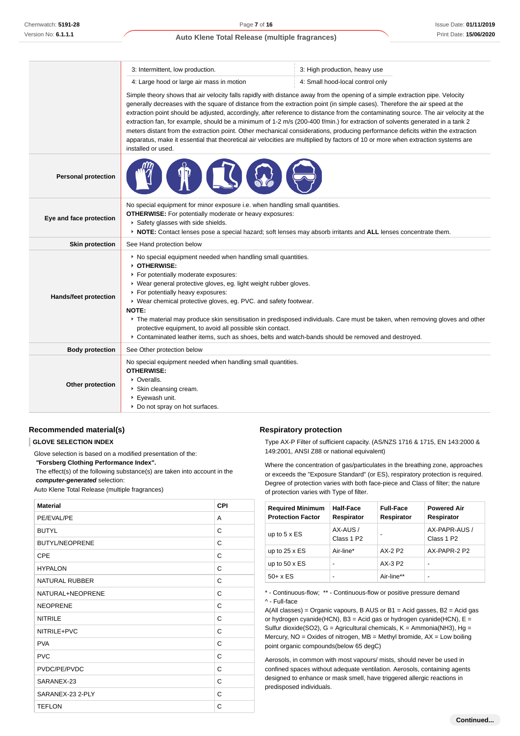|                            | 3: Intermittent, low production.                                                                                                                                                                                                                                                                                                                                                                                                                                                                                                                                                                                                                                                                                                                                                                                                   | 3: High production, heavy use    |  |  |  |
|----------------------------|------------------------------------------------------------------------------------------------------------------------------------------------------------------------------------------------------------------------------------------------------------------------------------------------------------------------------------------------------------------------------------------------------------------------------------------------------------------------------------------------------------------------------------------------------------------------------------------------------------------------------------------------------------------------------------------------------------------------------------------------------------------------------------------------------------------------------------|----------------------------------|--|--|--|
|                            | 4: Large hood or large air mass in motion                                                                                                                                                                                                                                                                                                                                                                                                                                                                                                                                                                                                                                                                                                                                                                                          | 4: Small hood-local control only |  |  |  |
|                            | Simple theory shows that air velocity falls rapidly with distance away from the opening of a simple extraction pipe. Velocity<br>generally decreases with the square of distance from the extraction point (in simple cases). Therefore the air speed at the<br>extraction point should be adjusted, accordingly, after reference to distance from the contaminating source. The air velocity at the<br>extraction fan, for example, should be a minimum of 1-2 m/s (200-400 f/min.) for extraction of solvents generated in a tank 2<br>meters distant from the extraction point. Other mechanical considerations, producing performance deficits within the extraction<br>apparatus, make it essential that theoretical air velocities are multiplied by factors of 10 or more when extraction systems are<br>installed or used. |                                  |  |  |  |
| <b>Personal protection</b> |                                                                                                                                                                                                                                                                                                                                                                                                                                                                                                                                                                                                                                                                                                                                                                                                                                    |                                  |  |  |  |
| Eye and face protection    | No special equipment for minor exposure i.e. when handling small quantities.<br><b>OTHERWISE:</b> For potentially moderate or heavy exposures:<br>Safety glasses with side shields.<br>▶ NOTE: Contact lenses pose a special hazard; soft lenses may absorb irritants and ALL lenses concentrate them.                                                                                                                                                                                                                                                                                                                                                                                                                                                                                                                             |                                  |  |  |  |
| <b>Skin protection</b>     | See Hand protection below                                                                                                                                                                                                                                                                                                                                                                                                                                                                                                                                                                                                                                                                                                                                                                                                          |                                  |  |  |  |
| Hands/feet protection      | • No special equipment needed when handling small quantities.<br>OTHERWISE:<br>For potentially moderate exposures:<br>▶ Wear general protective gloves, eg. light weight rubber gloves.<br>For potentially heavy exposures:<br>▶ Wear chemical protective gloves, eg. PVC. and safety footwear.<br>NOTE:<br>▶ The material may produce skin sensitisation in predisposed individuals. Care must be taken, when removing gloves and other<br>protective equipment, to avoid all possible skin contact.<br>▶ Contaminated leather items, such as shoes, belts and watch-bands should be removed and destroyed.                                                                                                                                                                                                                       |                                  |  |  |  |
| <b>Body protection</b>     | See Other protection below                                                                                                                                                                                                                                                                                                                                                                                                                                                                                                                                                                                                                                                                                                                                                                                                         |                                  |  |  |  |
| Other protection           | No special equipment needed when handling small quantities.<br><b>OTHERWISE:</b><br>• Overalls.<br>Skin cleansing cream.<br>▶ Eyewash unit.<br>Do not spray on hot surfaces.                                                                                                                                                                                                                                                                                                                                                                                                                                                                                                                                                                                                                                                       |                                  |  |  |  |

## **Recommended material(s)**

## **GLOVE SELECTION INDEX**

Glove selection is based on a modified presentation of the:

 **"Forsberg Clothing Performance Index".**

 The effect(s) of the following substance(s) are taken into account in the **computer-generated** selection:

Auto Klene Total Release (multiple fragrances)

| <b>Material</b>       | <b>CPI</b> |
|-----------------------|------------|
| PE/EVAL/PE            | A          |
| <b>BUTYL</b>          | C          |
| <b>BUTYL/NEOPRENE</b> | C          |
| CPE                   | C          |
| <b>HYPALON</b>        | C          |
| <b>NATURAL RUBBER</b> | C          |
| NATURAL+NEOPRENE      | C          |
| <b>NEOPRENE</b>       | C          |
| <b>NITRILE</b>        | C          |
| NITRILE+PVC           | C          |
| <b>PVA</b>            | C          |
| <b>PVC</b>            | C          |
| PVDC/PE/PVDC          | C          |
| SARANEX-23            | С          |
| SARANEX-23 2-PLY      | C          |
| <b>TEFLON</b>         | C          |

#### **Respiratory protection**

Type AX-P Filter of sufficient capacity. (AS/NZS 1716 & 1715, EN 143:2000 & 149:2001, ANSI Z88 or national equivalent)

Where the concentration of gas/particulates in the breathing zone, approaches or exceeds the "Exposure Standard" (or ES), respiratory protection is required. Degree of protection varies with both face-piece and Class of filter; the nature of protection varies with Type of filter.

| <b>Required Minimum</b><br><b>Protection Factor</b> | Half-Face<br>Respirator           | <b>Full-Face</b><br>Respirator | <b>Powered Air</b><br>Respirator        |
|-----------------------------------------------------|-----------------------------------|--------------------------------|-----------------------------------------|
| up to $5 \times ES$                                 | AX-AUS/<br>Class 1 P <sub>2</sub> | ۰                              | AX-PAPR-AUS /<br>Class 1 P <sub>2</sub> |
| up to $25 \times ES$                                | Air-line*                         | AX-2 P2                        | AX-PAPR-2 P2                            |
| up to $50 \times ES$                                | -                                 | $AX-3P2$                       |                                         |
| $50+ x ES$                                          | -                                 | Air-line**                     |                                         |

\* - Continuous-flow; \*\* - Continuous-flow or positive pressure demand ^ - Full-face

A(All classes) = Organic vapours, B AUS or B1 = Acid gasses, B2 = Acid gas or hydrogen cyanide(HCN), B3 = Acid gas or hydrogen cyanide(HCN),  $E =$ Sulfur dioxide(SO2),  $G =$  Agricultural chemicals,  $K =$  Ammonia(NH3),  $Hg =$ Mercury,  $NO = Oxides$  of nitrogen,  $MB = Methyl$  bromide,  $AX = Low$  boiling point organic compounds(below 65 degC)

Aerosols, in common with most vapours/ mists, should never be used in confined spaces without adequate ventilation. Aerosols, containing agents designed to enhance or mask smell, have triggered allergic reactions in predisposed individuals.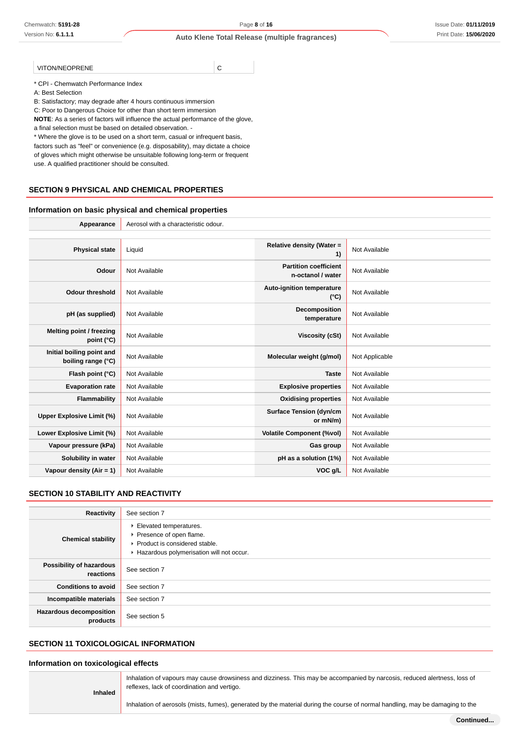VITON/NEOPRENE C

\* CPI - Chemwatch Performance Index

A: Best Selection

B: Satisfactory; may degrade after 4 hours continuous immersion

C: Poor to Dangerous Choice for other than short term immersion

**NOTE**: As a series of factors will influence the actual performance of the glove,

a final selection must be based on detailed observation. -

\* Where the glove is to be used on a short term, casual or infrequent basis, factors such as "feel" or convenience (e.g. disposability), may dictate a choice of gloves which might otherwise be unsuitable following long-term or frequent use. A qualified practitioner should be consulted.

## **SECTION 9 PHYSICAL AND CHEMICAL PROPERTIES**

#### **Information on basic physical and chemical properties**

Appearance **Acker Acker** Aerosol with a characteristic odour.

| <b>Physical state</b>                           | Liquid        | Relative density (Water =<br>1)                   | Not Available  |
|-------------------------------------------------|---------------|---------------------------------------------------|----------------|
| Odour                                           | Not Available | <b>Partition coefficient</b><br>n-octanol / water | Not Available  |
| <b>Odour threshold</b>                          | Not Available | <b>Auto-ignition temperature</b><br>$(^{\circ}C)$ | Not Available  |
| pH (as supplied)                                | Not Available | Decomposition<br>temperature                      | Not Available  |
| Melting point / freezing<br>point (°C)          | Not Available | <b>Viscosity (cSt)</b>                            | Not Available  |
| Initial boiling point and<br>boiling range (°C) | Not Available | Molecular weight (g/mol)                          | Not Applicable |
| Flash point (°C)                                | Not Available | <b>Taste</b>                                      | Not Available  |
| <b>Evaporation rate</b>                         | Not Available | <b>Explosive properties</b>                       | Not Available  |
| Flammability                                    | Not Available | <b>Oxidising properties</b>                       | Not Available  |
| Upper Explosive Limit (%)                       | Not Available | <b>Surface Tension (dyn/cm</b><br>or mN/m)        | Not Available  |
| Lower Explosive Limit (%)                       | Not Available | <b>Volatile Component (%vol)</b>                  | Not Available  |
| Vapour pressure (kPa)                           | Not Available | Gas group                                         | Not Available  |
| Solubility in water                             | Not Available | pH as a solution (1%)                             | Not Available  |
| Vapour density (Air = $1$ )                     | Not Available | VOC g/L                                           | Not Available  |

## **SECTION 10 STABILITY AND REACTIVITY**

| Reactivity                                 | See section 7                                                                                                                      |
|--------------------------------------------|------------------------------------------------------------------------------------------------------------------------------------|
| <b>Chemical stability</b>                  | Elevated temperatures.<br>▶ Presence of open flame.<br>▶ Product is considered stable.<br>Hazardous polymerisation will not occur. |
| Possibility of hazardous<br>reactions      | See section 7                                                                                                                      |
| <b>Conditions to avoid</b>                 | See section 7                                                                                                                      |
| Incompatible materials                     | See section 7                                                                                                                      |
| <b>Hazardous decomposition</b><br>products | See section 5                                                                                                                      |

## **SECTION 11 TOXICOLOGICAL INFORMATION**

n

## **Information on toxicological effects**

|                | Inhala |
|----------------|--------|
| <b>Inhaled</b> | reflex |
|                |        |

ation of vapours may cause drowsiness and dizziness. This may be accompanied by narcosis, reduced alertness, loss of res, lack of coordination and vertigo.

Inhalation of aerosols (mists, fumes), generated by the material during the course of normal handling, may be damaging to the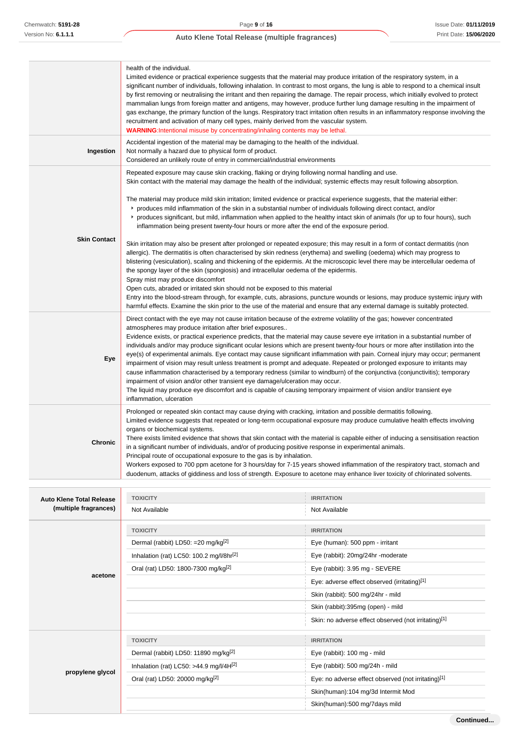|                     | health of the individual.<br>Limited evidence or practical experience suggests that the material may produce irritation of the respiratory system, in a<br>significant number of individuals, following inhalation. In contrast to most organs, the lung is able to respond to a chemical insult<br>by first removing or neutralising the irritant and then repairing the damage. The repair process, which initially evolved to protect<br>mammalian lungs from foreign matter and antigens, may however, produce further lung damage resulting in the impairment of<br>gas exchange, the primary function of the lungs. Respiratory tract irritation often results in an inflammatory response involving the<br>recruitment and activation of many cell types, mainly derived from the vascular system.<br><b>WARNING:</b> Intentional misuse by concentrating/inhaling contents may be lethal.                                                                                                                                                                                                                                                                                                                                                                                                                                                                                                                                                                                                                                                                                                 |
|---------------------|---------------------------------------------------------------------------------------------------------------------------------------------------------------------------------------------------------------------------------------------------------------------------------------------------------------------------------------------------------------------------------------------------------------------------------------------------------------------------------------------------------------------------------------------------------------------------------------------------------------------------------------------------------------------------------------------------------------------------------------------------------------------------------------------------------------------------------------------------------------------------------------------------------------------------------------------------------------------------------------------------------------------------------------------------------------------------------------------------------------------------------------------------------------------------------------------------------------------------------------------------------------------------------------------------------------------------------------------------------------------------------------------------------------------------------------------------------------------------------------------------------------------------------------------------------------------------------------------------|
| Ingestion           | Accidental ingestion of the material may be damaging to the health of the individual.<br>Not normally a hazard due to physical form of product.<br>Considered an unlikely route of entry in commercial/industrial environments                                                                                                                                                                                                                                                                                                                                                                                                                                                                                                                                                                                                                                                                                                                                                                                                                                                                                                                                                                                                                                                                                                                                                                                                                                                                                                                                                                    |
| <b>Skin Contact</b> | Repeated exposure may cause skin cracking, flaking or drying following normal handling and use.<br>Skin contact with the material may damage the health of the individual; systemic effects may result following absorption.<br>The material may produce mild skin irritation; limited evidence or practical experience suggests, that the material either:<br>► produces mild inflammation of the skin in a substantial number of individuals following direct contact, and/or<br>► produces significant, but mild, inflammation when applied to the healthy intact skin of animals (for up to four hours), such<br>inflammation being present twenty-four hours or more after the end of the exposure period.<br>Skin irritation may also be present after prolonged or repeated exposure; this may result in a form of contact dermatitis (non<br>allergic). The dermatitis is often characterised by skin redness (erythema) and swelling (oedema) which may progress to<br>blistering (vesiculation), scaling and thickening of the epidermis. At the microscopic level there may be intercellular oedema of<br>the spongy layer of the skin (spongiosis) and intracellular oedema of the epidermis.<br>Spray mist may produce discomfort<br>Open cuts, abraded or irritated skin should not be exposed to this material<br>Entry into the blood-stream through, for example, cuts, abrasions, puncture wounds or lesions, may produce systemic injury with<br>harmful effects. Examine the skin prior to the use of the material and ensure that any external damage is suitably protected. |
| Eye                 | Direct contact with the eye may not cause irritation because of the extreme volatility of the gas; however concentrated<br>atmospheres may produce irritation after brief exposures<br>Evidence exists, or practical experience predicts, that the material may cause severe eye irritation in a substantial number of<br>individuals and/or may produce significant ocular lesions which are present twenty-four hours or more after instillation into the<br>eye(s) of experimental animals. Eye contact may cause significant inflammation with pain. Corneal injury may occur; permanent<br>impairment of vision may result unless treatment is prompt and adequate. Repeated or prolonged exposure to irritants may<br>cause inflammation characterised by a temporary redness (similar to windburn) of the conjunctiva (conjunctivitis); temporary<br>impairment of vision and/or other transient eye damage/ulceration may occur.<br>The liquid may produce eye discomfort and is capable of causing temporary impairment of vision and/or transient eye<br>inflammation, ulceration                                                                                                                                                                                                                                                                                                                                                                                                                                                                                                       |
| <b>Chronic</b>      | Prolonged or repeated skin contact may cause drying with cracking, irritation and possible dermatitis following.<br>Limited evidence suggests that repeated or long-term occupational exposure may produce cumulative health effects involving<br>organs or biochemical systems.<br>There exists limited evidence that shows that skin contact with the material is capable either of inducing a sensitisation reaction<br>in a significant number of individuals, and/or of producing positive response in experimental animals.<br>Principal route of occupational exposure to the gas is by inhalation.<br>Workers exposed to 700 ppm acetone for 3 hours/day for 7-15 years showed inflammation of the respiratory tract, stomach and<br>duodenum, attacks of giddiness and loss of strength. Exposure to acetone may enhance liver toxicity of chlorinated solvents.                                                                                                                                                                                                                                                                                                                                                                                                                                                                                                                                                                                                                                                                                                                         |

| <b>Auto Klene Total Release</b> | <b>TOXICITY</b>                                      | <b>IRRITATION</b>                                    |
|---------------------------------|------------------------------------------------------|------------------------------------------------------|
| (multiple fragrances)           | Not Available                                        | Not Available                                        |
|                                 | <b>TOXICITY</b>                                      | <b>IRRITATION</b>                                    |
|                                 | Dermal (rabbit) LD50: =20 mg/kg <sup>[2]</sup>       | Eye (human): 500 ppm - irritant                      |
|                                 | Inhalation (rat) LC50: 100.2 mg/l/8hr <sup>[2]</sup> | Eye (rabbit): 20mg/24hr -moderate                    |
|                                 | Oral (rat) LD50: 1800-7300 mg/kg <sup>[2]</sup>      | Eye (rabbit): 3.95 mg - SEVERE                       |
| acetone                         |                                                      | Eye: adverse effect observed (irritating)[1]         |
|                                 |                                                      | Skin (rabbit): 500 mg/24hr - mild                    |
|                                 |                                                      | Skin (rabbit):395mg (open) - mild                    |
|                                 |                                                      | Skin: no adverse effect observed (not irritating)[1] |
|                                 | <b>TOXICITY</b>                                      | <b>IRRITATION</b>                                    |
|                                 | Dermal (rabbit) LD50: 11890 mg/kg <sup>[2]</sup>     | Eye (rabbit): 100 mg - mild                          |
| propylene glycol                | Inhalation (rat) LC50: >44.9 mg/l/4H $^{[2]}$        | Eye (rabbit): 500 mg/24h - mild                      |
|                                 | Oral (rat) LD50: 20000 mg/kg <sup>[2]</sup>          | Eye: no adverse effect observed (not irritating)[1]  |
|                                 |                                                      | Skin(human):104 mg/3d Intermit Mod                   |
|                                 |                                                      | Skin(human):500 mg/7days mild                        |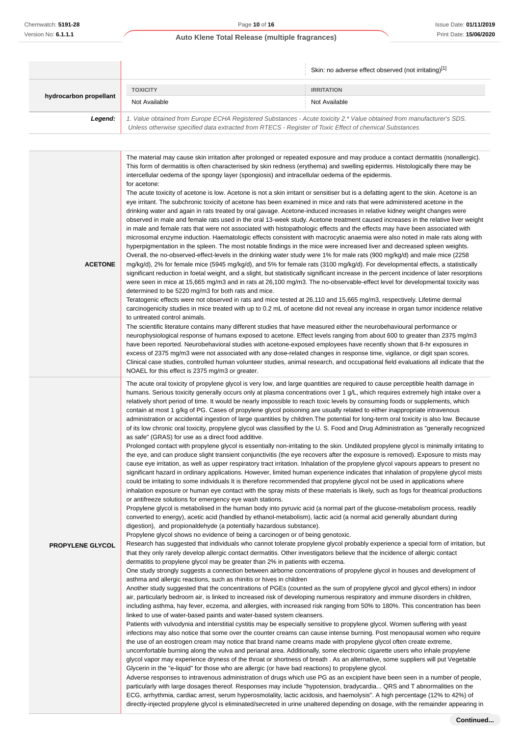|                         |                                                                                                                                                                                                                                                                                                                                                                                                                                                                                                                                                                                                                                                                                                                                                                                                                                                                                                                                                                                                                                                                                                                                                                                                                                                                                                                                                                                                                                                                                                                                                                                                                                                                                                                                                                                                                                                                                                                                                                                                                                                                                                                                                                                                                                                                                                                                                                                                                                                                                                                                                                                                                                                                                                                                                                                                                                                                                                                                          | Skin: no adverse effect observed (not irritating)[1]                                                                                                                                                                                                                                                                                                                                                                                                                                                                                                                                                                                                                                                                                                                                                                                                                                                                                                                                                                                                                                                                                                                                                                                                                                                                                                                                                                                                                                                                                                                                                                                                                                                                                                                                                                                                                                                                                                                                                                                                      |
|-------------------------|------------------------------------------------------------------------------------------------------------------------------------------------------------------------------------------------------------------------------------------------------------------------------------------------------------------------------------------------------------------------------------------------------------------------------------------------------------------------------------------------------------------------------------------------------------------------------------------------------------------------------------------------------------------------------------------------------------------------------------------------------------------------------------------------------------------------------------------------------------------------------------------------------------------------------------------------------------------------------------------------------------------------------------------------------------------------------------------------------------------------------------------------------------------------------------------------------------------------------------------------------------------------------------------------------------------------------------------------------------------------------------------------------------------------------------------------------------------------------------------------------------------------------------------------------------------------------------------------------------------------------------------------------------------------------------------------------------------------------------------------------------------------------------------------------------------------------------------------------------------------------------------------------------------------------------------------------------------------------------------------------------------------------------------------------------------------------------------------------------------------------------------------------------------------------------------------------------------------------------------------------------------------------------------------------------------------------------------------------------------------------------------------------------------------------------------------------------------------------------------------------------------------------------------------------------------------------------------------------------------------------------------------------------------------------------------------------------------------------------------------------------------------------------------------------------------------------------------------------------------------------------------------------------------------------------------|-----------------------------------------------------------------------------------------------------------------------------------------------------------------------------------------------------------------------------------------------------------------------------------------------------------------------------------------------------------------------------------------------------------------------------------------------------------------------------------------------------------------------------------------------------------------------------------------------------------------------------------------------------------------------------------------------------------------------------------------------------------------------------------------------------------------------------------------------------------------------------------------------------------------------------------------------------------------------------------------------------------------------------------------------------------------------------------------------------------------------------------------------------------------------------------------------------------------------------------------------------------------------------------------------------------------------------------------------------------------------------------------------------------------------------------------------------------------------------------------------------------------------------------------------------------------------------------------------------------------------------------------------------------------------------------------------------------------------------------------------------------------------------------------------------------------------------------------------------------------------------------------------------------------------------------------------------------------------------------------------------------------------------------------------------------|
|                         | <b>TOXICITY</b>                                                                                                                                                                                                                                                                                                                                                                                                                                                                                                                                                                                                                                                                                                                                                                                                                                                                                                                                                                                                                                                                                                                                                                                                                                                                                                                                                                                                                                                                                                                                                                                                                                                                                                                                                                                                                                                                                                                                                                                                                                                                                                                                                                                                                                                                                                                                                                                                                                                                                                                                                                                                                                                                                                                                                                                                                                                                                                                          | <b>IRRITATION</b>                                                                                                                                                                                                                                                                                                                                                                                                                                                                                                                                                                                                                                                                                                                                                                                                                                                                                                                                                                                                                                                                                                                                                                                                                                                                                                                                                                                                                                                                                                                                                                                                                                                                                                                                                                                                                                                                                                                                                                                                                                         |
| hydrocarbon propellant  | Not Available                                                                                                                                                                                                                                                                                                                                                                                                                                                                                                                                                                                                                                                                                                                                                                                                                                                                                                                                                                                                                                                                                                                                                                                                                                                                                                                                                                                                                                                                                                                                                                                                                                                                                                                                                                                                                                                                                                                                                                                                                                                                                                                                                                                                                                                                                                                                                                                                                                                                                                                                                                                                                                                                                                                                                                                                                                                                                                                            | Not Available                                                                                                                                                                                                                                                                                                                                                                                                                                                                                                                                                                                                                                                                                                                                                                                                                                                                                                                                                                                                                                                                                                                                                                                                                                                                                                                                                                                                                                                                                                                                                                                                                                                                                                                                                                                                                                                                                                                                                                                                                                             |
| Legend:                 | Unless otherwise specified data extracted from RTECS - Register of Toxic Effect of chemical Substances                                                                                                                                                                                                                                                                                                                                                                                                                                                                                                                                                                                                                                                                                                                                                                                                                                                                                                                                                                                                                                                                                                                                                                                                                                                                                                                                                                                                                                                                                                                                                                                                                                                                                                                                                                                                                                                                                                                                                                                                                                                                                                                                                                                                                                                                                                                                                                                                                                                                                                                                                                                                                                                                                                                                                                                                                                   | 1. Value obtained from Europe ECHA Registered Substances - Acute toxicity 2.* Value obtained from manufacturer's SDS.                                                                                                                                                                                                                                                                                                                                                                                                                                                                                                                                                                                                                                                                                                                                                                                                                                                                                                                                                                                                                                                                                                                                                                                                                                                                                                                                                                                                                                                                                                                                                                                                                                                                                                                                                                                                                                                                                                                                     |
| <b>ACETONE</b>          | The material may cause skin irritation after prolonged or repeated exposure and may produce a contact dermatitis (nonallergic).<br>This form of dermatitis is often characterised by skin redness (erythema) and swelling epidermis. Histologically there may be<br>intercellular oedema of the spongy layer (spongiosis) and intracellular oedema of the epidermis.<br>for acetone:<br>The acute toxicity of acetone is low. Acetone is not a skin irritant or sensitiser but is a defatting agent to the skin. Acetone is an<br>eye irritant. The subchronic toxicity of acetone has been examined in mice and rats that were administered acetone in the<br>drinking water and again in rats treated by oral gavage. Acetone-induced increases in relative kidney weight changes were<br>observed in male and female rats used in the oral 13-week study. Acetone treatment caused increases in the relative liver weight<br>in male and female rats that were not associated with histopathologic effects and the effects may have been associated with<br>microsomal enzyme induction. Haematologic effects consistent with macrocytic anaemia were also noted in male rats along with<br>hyperpigmentation in the spleen. The most notable findings in the mice were increased liver and decreased spleen weights.<br>Overall, the no-observed-effect-levels in the drinking water study were 1% for male rats (900 mg/kg/d) and male mice (2258<br>mg/kg/d), 2% for female mice (5945 mg/kg/d), and 5% for female rats (3100 mg/kg/d). For developmental effects, a statistically<br>significant reduction in foetal weight, and a slight, but statistically significant increase in the percent incidence of later resorptions<br>were seen in mice at 15,665 mg/m3 and in rats at 26,100 mg/m3. The no-observable-effect level for developmental toxicity was<br>determined to be 5220 mg/m3 for both rats and mice.<br>Teratogenic effects were not observed in rats and mice tested at 26,110 and 15,665 mg/m3, respectively. Lifetime dermal<br>carcinogenicity studies in mice treated with up to 0.2 mL of acetone did not reveal any increase in organ tumor incidence relative<br>to untreated control animals.<br>The scientific literature contains many different studies that have measured either the neurobehavioural performance or<br>neurophysiological response of humans exposed to acetone. Effect levels ranging from about 600 to greater than 2375 mg/m3<br>have been reported. Neurobehavioral studies with acetone-exposed employees have recently shown that 8-hr exposures in<br>excess of 2375 mg/m3 were not associated with any dose-related changes in response time, vigilance, or digit span scores.<br>Clinical case studies, controlled human volunteer studies, animal research, and occupational field evaluations all indicate that the<br>NOAEL for this effect is 2375 mg/m3 or greater. |                                                                                                                                                                                                                                                                                                                                                                                                                                                                                                                                                                                                                                                                                                                                                                                                                                                                                                                                                                                                                                                                                                                                                                                                                                                                                                                                                                                                                                                                                                                                                                                                                                                                                                                                                                                                                                                                                                                                                                                                                                                           |
| <b>PROPYLENE GLYCOL</b> | as safe" (GRAS) for use as a direct food additive.<br>or antifreeze solutions for emergency eye wash stations.<br>digestion), and propionaldehyde (a potentially hazardous substance).<br>Propylene glycol shows no evidence of being a carcinogen or of being genotoxic.                                                                                                                                                                                                                                                                                                                                                                                                                                                                                                                                                                                                                                                                                                                                                                                                                                                                                                                                                                                                                                                                                                                                                                                                                                                                                                                                                                                                                                                                                                                                                                                                                                                                                                                                                                                                                                                                                                                                                                                                                                                                                                                                                                                                                                                                                                                                                                                                                                                                                                                                                                                                                                                                | The acute oral toxicity of propylene glycol is very low, and large quantities are required to cause perceptible health damage in<br>humans. Serious toxicity generally occurs only at plasma concentrations over 1 g/L, which requires extremely high intake over a<br>relatively short period of time. It would be nearly impossible to reach toxic levels by consuming foods or supplements, which<br>contain at most 1 g/kg of PG. Cases of propylene glycol poisoning are usually related to either inappropriate intravenous<br>administration or accidental ingestion of large quantities by children. The potential for long-term oral toxicity is also low. Because<br>of its low chronic oral toxicity, propylene glycol was classified by the U.S. Food and Drug Administration as "generally recognized<br>Prolonged contact with propylene glycol is essentially non-irritating to the skin. Undiluted propylene glycol is minimally irritating to<br>the eye, and can produce slight transient conjunctivitis (the eye recovers after the exposure is removed). Exposure to mists may<br>cause eye irritation, as well as upper respiratory tract irritation. Inhalation of the propylene glycol vapours appears to present no<br>significant hazard in ordinary applications. However, limited human experience indicates that inhalation of propylene glycol mists<br>could be irritating to some individuals It is therefore recommended that propylene glycol not be used in applications where<br>inhalation exposure or human eye contact with the spray mists of these materials is likely, such as fogs for theatrical productions<br>Propylene glycol is metabolised in the human body into pyruvic acid (a normal part of the glucose-metabolism process, readily<br>converted to energy), acetic acid (handled by ethanol-metabolism), lactic acid (a normal acid generally abundant during<br>Research has suggested that individuals who cannot tolerate propylene glycol probably experience a special form of irritation, but |
|                         | dermatitis to propylene glycol may be greater than 2% in patients with eczema.                                                                                                                                                                                                                                                                                                                                                                                                                                                                                                                                                                                                                                                                                                                                                                                                                                                                                                                                                                                                                                                                                                                                                                                                                                                                                                                                                                                                                                                                                                                                                                                                                                                                                                                                                                                                                                                                                                                                                                                                                                                                                                                                                                                                                                                                                                                                                                                                                                                                                                                                                                                                                                                                                                                                                                                                                                                           | that they only rarely develop allergic contact dermatitis. Other investigators believe that the incidence of allergic contact<br>One otudy otropoly suggests a connection between oirborne concentrations of propulsos glycol in beyone and development of                                                                                                                                                                                                                                                                                                                                                                                                                                                                                                                                                                                                                                                                                                                                                                                                                                                                                                                                                                                                                                                                                                                                                                                                                                                                                                                                                                                                                                                                                                                                                                                                                                                                                                                                                                                                |

One study strongly suggests a connection between airborne concentrations of propylene glycol in houses and development of asthma and allergic reactions, such as rhinitis or hives in children

Another study suggested that the concentrations of PGEs (counted as the sum of propylene glycol and glycol ethers) in indoor air, particularly bedroom air, is linked to increased risk of developing numerous respiratory and immune disorders in children, including asthma, hay fever, eczema, and allergies, with increased risk ranging from 50% to 180%. This concentration has been linked to use of water-based paints and water-based system cleansers.

Patients with vulvodynia and interstitial cystitis may be especially sensitive to propylene glycol. Women suffering with yeast infections may also notice that some over the counter creams can cause intense burning. Post menopausal women who require the use of an eostrogen cream may notice that brand name creams made with propylene glycol often create extreme, uncomfortable burning along the vulva and perianal area. Additionally, some electronic cigarette users who inhale propylene glycol vapor may experience dryness of the throat or shortness of breath . As an alternative, some suppliers will put Vegetable Glycerin in the "e-liquid" for those who are allergic (or have bad reactions) to propylene glycol.

Adverse responses to intravenous administration of drugs which use PG as an excipient have been seen in a number of people, particularly with large dosages thereof. Responses may include "hypotension, bradycardia... QRS and T abnormalities on the ECG, arrhythmia, cardiac arrest, serum hyperosmolality, lactic acidosis, and haemolysis". A high percentage (12% to 42%) of directly-injected propylene glycol is eliminated/secreted in urine unaltered depending on dosage, with the remainder appearing in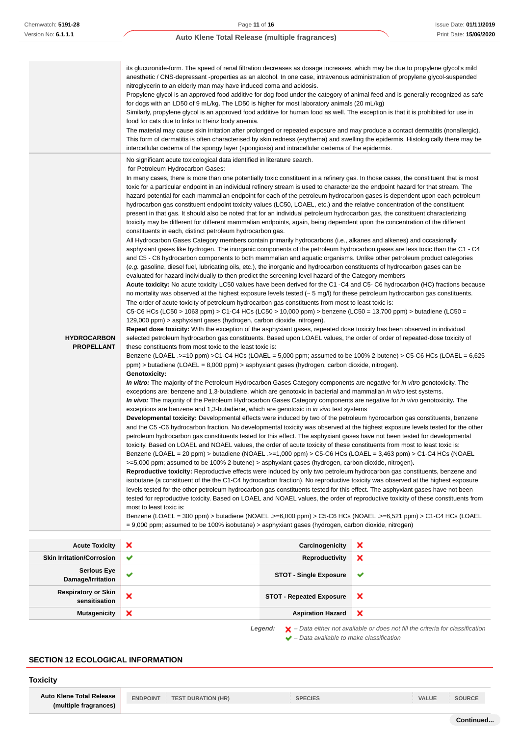|                                         | its glucuronide-form. The speed of renal filtration decreases as dosage increases, which may be due to propylene glycol's mild<br>anesthetic / CNS-depressant -properties as an alcohol. In one case, intravenous administration of propylene glycol-suspended<br>nitroglycerin to an elderly man may have induced coma and acidosis.<br>Propylene glycol is an approved food additive for dog food under the category of animal feed and is generally recognized as safe<br>for dogs with an LD50 of 9 mL/kg. The LD50 is higher for most laboratory animals (20 mL/kg)<br>Similarly, propylene glycol is an approved food additive for human food as well. The exception is that it is prohibited for use in<br>food for cats due to links to Heinz body anemia.<br>The material may cause skin irritation after prolonged or repeated exposure and may produce a contact dermatitis (nonallergic).<br>This form of dermatitis is often characterised by skin redness (erythema) and swelling the epidermis. Histologically there may be<br>intercellular oedema of the spongy layer (spongiosis) and intracellular oedema of the epidermis.                                                                                                                                                                                                                                                                                                                                                                                                                                                                                                                                                                                                                                                                                                                                                                                                                                                                                                                                                                                                                                                                                                                                                                                                                                                                                                                                                                                                                                                                                                                                                                                                                                                                                                                                                                                                                                                                                                                                                                                                                                                                                                                                                                                                                                                                                                                                                                                                                                                                                                                                                                                                                                                                                                                                                                                                                                                                                                                                                                                                                                                                                                                                                                                                                                                                                                                                                                                                                                                                                                                                                                                                        |
|-----------------------------------------|-------------------------------------------------------------------------------------------------------------------------------------------------------------------------------------------------------------------------------------------------------------------------------------------------------------------------------------------------------------------------------------------------------------------------------------------------------------------------------------------------------------------------------------------------------------------------------------------------------------------------------------------------------------------------------------------------------------------------------------------------------------------------------------------------------------------------------------------------------------------------------------------------------------------------------------------------------------------------------------------------------------------------------------------------------------------------------------------------------------------------------------------------------------------------------------------------------------------------------------------------------------------------------------------------------------------------------------------------------------------------------------------------------------------------------------------------------------------------------------------------------------------------------------------------------------------------------------------------------------------------------------------------------------------------------------------------------------------------------------------------------------------------------------------------------------------------------------------------------------------------------------------------------------------------------------------------------------------------------------------------------------------------------------------------------------------------------------------------------------------------------------------------------------------------------------------------------------------------------------------------------------------------------------------------------------------------------------------------------------------------------------------------------------------------------------------------------------------------------------------------------------------------------------------------------------------------------------------------------------------------------------------------------------------------------------------------------------------------------------------------------------------------------------------------------------------------------------------------------------------------------------------------------------------------------------------------------------------------------------------------------------------------------------------------------------------------------------------------------------------------------------------------------------------------------------------------------------------------------------------------------------------------------------------------------------------------------------------------------------------------------------------------------------------------------------------------------------------------------------------------------------------------------------------------------------------------------------------------------------------------------------------------------------------------------------------------------------------------------------------------------------------------------------------------------------------------------------------------------------------------------------------------------------------------------------------------------------------------------------------------------------------------------------------------------------------------------------------------------------------------------------------------------------------------------------------------------------------------------------------------------------------------------------------------------------------------------------------------------------------------------------------------------------------------------------------------------------------------------------------------------------------------------------------------------------------------------------------------------------------------------------------------------------------------------------------------------------------------------------------------------|
| <b>HYDROCARBON</b><br><b>PROPELLANT</b> | No significant acute toxicological data identified in literature search.<br>for Petroleum Hydrocarbon Gases:<br>In many cases, there is more than one potentially toxic constituent in a refinery gas. In those cases, the constituent that is most<br>toxic for a particular endpoint in an individual refinery stream is used to characterize the endpoint hazard for that stream. The<br>hazard potential for each mammalian endpoint for each of the petroleum hydrocarbon gases is dependent upon each petroleum<br>hydrocarbon gas constituent endpoint toxicity values (LC50, LOAEL, etc.) and the relative concentration of the constituent<br>present in that gas. It should also be noted that for an individual petroleum hydrocarbon gas, the constituent characterizing<br>toxicity may be different for different mammalian endpoints, again, being dependent upon the concentration of the different<br>constituents in each, distinct petroleum hydrocarbon gas.<br>All Hydrocarbon Gases Category members contain primarily hydrocarbons (i.e., alkanes and alkenes) and occasionally<br>asphyxiant gases like hydrogen. The inorganic components of the petroleum hydrocarbon gases are less toxic than the C1 - C4<br>and C5 - C6 hydrocarbon components to both mammalian and aquatic organisms. Unlike other petroleum product categories<br>(e.g. gasoline, diesel fuel, lubricating oils, etc.), the inorganic and hydrocarbon constituents of hydrocarbon gases can be<br>evaluated for hazard individually to then predict the screening level hazard of the Category members<br>Acute toxicity: No acute toxicity LC50 values have been derived for the C1 -C4 and C5-C6 hydrocarbon (HC) fractions because<br>no mortality was observed at the highest exposure levels tested $(-5 \text{ mg/l})$ for these petroleum hydrocarbon gas constituents.<br>The order of acute toxicity of petroleum hydrocarbon gas constituents from most to least toxic is:<br>C5-C6 HCs (LC50 > 1063 ppm) > C1-C4 HCs (LC50 > 10,000 ppm) > benzene (LC50 = 13,700 ppm) > butadiene (LC50 =<br>129,000 ppm) > asphyxiant gases (hydrogen, carbon dioxide, nitrogen).<br>Repeat dose toxicity: With the exception of the asphyxiant gases, repeated dose toxicity has been observed in individual<br>selected petroleum hydrocarbon gas constituents. Based upon LOAEL values, the order of order of repeated-dose toxicity of<br>these constituents from most toxic to the least toxic is:<br>Benzene (LOAEL .>=10 ppm) >C1-C4 HCs (LOAEL = 5,000 ppm; assumed to be 100% 2-butene) > C5-C6 HCs (LOAEL = 6,625<br>ppm) > butadiene (LOAEL = 8,000 ppm) > asphyxiant gases (hydrogen, carbon dioxide, nitrogen).<br>Genotoxicity:<br>In vitro: The majority of the Petroleum Hydrocarbon Gases Category components are negative for in vitro genotoxicity. The<br>exceptions are: benzene and 1,3-butadiene, which are genotoxic in bacterial and mammalian in vitro test systems.<br>In vivo: The majority of the Petroleum Hydrocarbon Gases Category components are negative for in vivo genotoxicity. The<br>exceptions are benzene and 1,3-butadiene, which are genotoxic in in vivo test systems<br>Developmental toxicity: Developmental effects were induced by two of the petroleum hydrocarbon gas constituents, benzene<br>and the C5 -C6 hydrocarbon fraction. No developmental toxicity was observed at the highest exposure levels tested for the other<br>petroleum hydrocarbon gas constituents tested for this effect. The asphyxiant gases have not been tested for developmental<br>toxicity. Based on LOAEL and NOAEL values, the order of acute toxicity of these constituents from most to least toxic is:<br>Benzene (LOAEL = 20 ppm) > butadiene (NOAEL .>=1,000 ppm) > C5-C6 HCs (LOAEL = 3,463 ppm) > C1-C4 HCs (NOAEL<br>>=5,000 ppm; assumed to be 100% 2-butene) > asphyxiant gases (hydrogen, carbon dioxide, nitrogen).<br>Reproductive toxicity: Reproductive effects were induced by only two petroleum hydrocarbon gas constituents, benzene and<br>isobutane (a constituent of the the C1-C4 hydrocarbon fraction). No reproductive toxicity was observed at the highest exposure<br>levels tested for the other petroleum hydrocarbon gas constituents tested for this effect. The asphyxiant gases have not been<br>tested for reproductive toxicity. Based on LOAEL and NOAEL values, the order of reproductive toxicity of these constituents from<br>most to least toxic is:<br>Benzene (LOAEL = 300 ppm) > butadiene (NOAEL .>=6,000 ppm) > C5-C6 HCs (NOAEL .>=6,521 ppm) > C1-C4 HCs (LOAEL<br>= 9,000 ppm; assumed to be 100% isobutane) > asphyxiant gases (hydrogen, carbon dioxide, nitrogen) |

| <b>Acute Toxicity</b>                       | ×            | Carcinogenicity                 | ×                                                                                                                                                                                                                                |
|---------------------------------------------|--------------|---------------------------------|----------------------------------------------------------------------------------------------------------------------------------------------------------------------------------------------------------------------------------|
| <b>Skin Irritation/Corrosion</b>            | $\checkmark$ | Reproductivity                  | ×                                                                                                                                                                                                                                |
| <b>Serious Eye</b><br>Damage/Irritation     | ✔            | <b>STOT - Single Exposure</b>   | v                                                                                                                                                                                                                                |
| <b>Respiratory or Skin</b><br>sensitisation | ×            | <b>STOT - Repeated Exposure</b> | $\boldsymbol{\mathsf{x}}$                                                                                                                                                                                                        |
| <b>Mutagenicity</b>                         | ×            | <b>Aspiration Hazard</b>        | $\boldsymbol{\mathsf{x}}$                                                                                                                                                                                                        |
|                                             |              |                                 | $\mathbf{r}$ , and the set of the set of the set of the set of the set of the set of the set of the set of the set of the set of the set of the set of the set of the set of the set of the set of the set of the set of the set |

Legend:  $\mathsf{X}$  - Data either not available or does not fill the criteria for classification  $\blacktriangleright$  – Data available to make classification

## **SECTION 12 ECOLOGICAL INFORMATION**

## **Toxicity**

**Auto Klene Total Release (multiple fragrances)** **ENDPOINT TEST DURATION (HR) SPECIES VALUE SOURCE**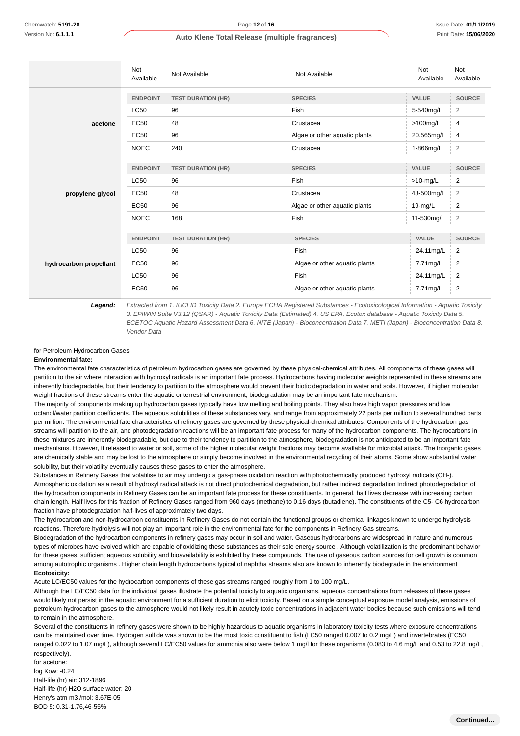|                        | Not<br>Available | Not Available             | Not Available                 | <b>Not</b><br>Available | Not<br>Available |
|------------------------|------------------|---------------------------|-------------------------------|-------------------------|------------------|
|                        | <b>ENDPOINT</b>  | <b>TEST DURATION (HR)</b> | <b>SPECIES</b>                | VALUE                   | <b>SOURCE</b>    |
|                        | LC50             | 96                        | Fish                          | 5-540mg/L               | $\overline{2}$   |
| acetone                | <b>EC50</b>      | 48                        | Crustacea                     | $>100$ mg/L             | 4                |
|                        | <b>EC50</b>      | 96                        | Algae or other aquatic plants | 20.565mg/L              | 4                |
|                        | <b>NOEC</b>      | 240                       | Crustacea                     | 1-866mg/L               | $\overline{2}$   |
|                        | <b>ENDPOINT</b>  | <b>TEST DURATION (HR)</b> | <b>SPECIES</b>                | <b>VALUE</b>            | <b>SOURCE</b>    |
|                        | <b>LC50</b>      | 96                        | <b>Fish</b>                   | $>10$ -mg/L             | 2                |
| propylene glycol       | <b>EC50</b>      | 48                        | Crustacea                     | 43-500mg/L              | $\overline{2}$   |
|                        | <b>EC50</b>      | 96                        | Algae or other aquatic plants | $19-mg/L$               | $\overline{2}$   |
|                        | <b>NOEC</b>      | 168                       | Fish                          | 11-530mg/L              | $\overline{2}$   |
|                        | <b>ENDPOINT</b>  | <b>TEST DURATION (HR)</b> | <b>SPECIES</b>                | <b>VALUE</b>            | <b>SOURCE</b>    |
|                        | LC50             | 96                        | <b>Fish</b>                   | 24.11mg/L               | 2                |
| hydrocarbon propellant | <b>EC50</b>      | 96                        | Algae or other aquatic plants | 7.71mg/L                | 2                |
|                        | <b>LC50</b>      | 96                        | Fish                          | 24.11mg/L               | $\overline{2}$   |
|                        | EC50             | 96                        | Algae or other aquatic plants | 7.71mg/L                | $\overline{2}$   |

for Petroleum Hydrocarbon Gases:

Vendor Data

#### **Environmental fate:**

The environmental fate characteristics of petroleum hydrocarbon gases are governed by these physical-chemical attributes. All components of these gases will partition to the air where interaction with hydroxyl radicals is an important fate process. Hydrocarbons having molecular weights represented in these streams are inherently biodegradable, but their tendency to partition to the atmosphere would prevent their biotic degradation in water and soils. However, if higher molecular weight fractions of these streams enter the aquatic or terrestrial environment, biodegradation may be an important fate mechanism.

The majority of components making up hydrocarbon gases typically have low melting and boiling points. They also have high vapor pressures and low octanol/water partition coefficients. The aqueous solubilities of these substances vary, and range from approximately 22 parts per million to several hundred parts per million. The environmental fate characteristics of refinery gases are governed by these physical-chemical attributes. Components of the hydrocarbon gas streams will partition to the air, and photodegradation reactions will be an important fate process for many of the hydrocarbon components. The hydrocarbons in these mixtures are inherently biodegradable, but due to their tendency to partition to the atmosphere, biodegradation is not anticipated to be an important fate mechanisms. However, if released to water or soil, some of the higher molecular weight fractions may become available for microbial attack. The inorganic gases are chemically stable and may be lost to the atmosphere or simply become involved in the environmental recycling of their atoms. Some show substantial water solubility, but their volatility eventually causes these gases to enter the atmosphere.

Substances in Refinery Gases that volatilise to air may undergo a gas-phase oxidation reaction with photochemically produced hydroxyl radicals (OH-). Atmospheric oxidation as a result of hydroxyl radical attack is not direct photochemical degradation, but rather indirect degradation Indirect photodegradation of the hydrocarbon components in Refinery Gases can be an important fate process for these constituents. In general, half lives decrease with increasing carbon chain length. Half lives for this fraction of Refinery Gases ranged from 960 days (methane) to 0.16 days (butadiene). The constituents of the C5- C6 hydrocarbon fraction have photodegradation half-lives of approximately two days.

The hydrocarbon and non-hydrocarbon constituents in Refinery Gases do not contain the functional groups or chemical linkages known to undergo hydrolysis reactions. Therefore hydrolysis will not play an important role in the environmental fate for the components in Refinery Gas streams.

Biodegradation of the hydrocarbon components in refinery gases may occur in soil and water. Gaseous hydrocarbons are widespread in nature and numerous types of microbes have evolved which are capable of oxidizing these substances as their sole energy source . Although volatilization is the predominant behavior for these gases, sufficient aqueous solubility and bioavailability is exhibited by these compounds. The use of gaseous carbon sources for cell growth is common among autotrophic organisms . Higher chain length hydrocarbons typical of naphtha streams also are known to inherently biodegrade in the environment **Ecotoxicity:**

Acute LC/EC50 values for the hydrocarbon components of these gas streams ranged roughly from 1 to 100 mg/L.

Although the LC/EC50 data for the individual gases illustrate the potential toxicity to aquatic organisms, aqueous concentrations from releases of these gases would likely not persist in the aquatic environment for a sufficient duration to elicit toxicity. Based on a simple conceptual exposure model analysis, emissions of petroleum hydrocarbon gases to the atmosphere would not likely result in acutely toxic concentrations in adjacent water bodies because such emissions will tend to remain in the atmosphere.

Several of the constituents in refinery gases were shown to be highly hazardous to aquatic organisms in laboratory toxicity tests where exposure concentrations can be maintained over time. Hydrogen sulfide was shown to be the most toxic constituent to fish (LC50 ranged 0.007 to 0.2 mg/L) and invertebrates (EC50 ranged 0.022 to 1.07 mg/L), although several LC/EC50 values for ammonia also were below 1 mg/l for these organisms (0.083 to 4.6 mg/L and 0.53 to 22.8 mg/L, respectively).

for acetone: log Kow: -0.24 Half-life (hr) air: 312-1896 Half-life (hr) H2O surface water: 20 Henry's atm m3 /mol: 3.67E-05 BOD 5: 0.31-1.76,46-55%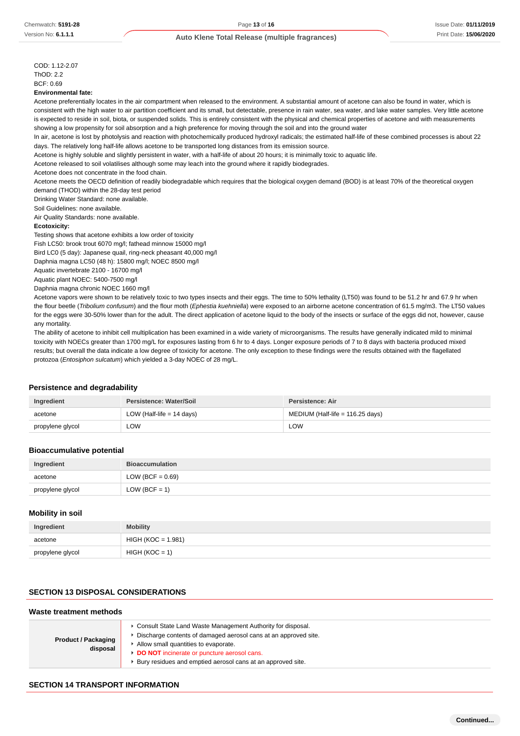COD: 1.12-2.07  $ThOD: 2.2$ BCF: 0.69

#### **Environmental fate:**

Acetone preferentially locates in the air compartment when released to the environment. A substantial amount of acetone can also be found in water, which is consistent with the high water to air partition coefficient and its small, but detectable, presence in rain water, sea water, and lake water samples. Very little acetone is expected to reside in soil, biota, or suspended solids. This is entirely consistent with the physical and chemical properties of acetone and with measurements showing a low propensity for soil absorption and a high preference for moving through the soil and into the ground water

In air, acetone is lost by photolysis and reaction with photochemically produced hydroxyl radicals; the estimated half-life of these combined processes is about 22 days. The relatively long half-life allows acetone to be transported long distances from its emission source.

Acetone is highly soluble and slightly persistent in water, with a half-life of about 20 hours; it is minimally toxic to aquatic life.

Acetone released to soil volatilises although some may leach into the ground where it rapidly biodegrades.

Acetone does not concentrate in the food chain.

Acetone meets the OECD definition of readily biodegradable which requires that the biological oxygen demand (BOD) is at least 70% of the theoretical oxygen demand (THOD) within the 28-day test period

Drinking Water Standard: none available.

Soil Guidelines: none available.

Air Quality Standards: none available.

#### **Ecotoxicity:**

Testing shows that acetone exhibits a low order of toxicity

Fish LC50: brook trout 6070 mg/l; fathead minnow 15000 mg/l

Bird LC0 (5 day): Japanese quail, ring-neck pheasant 40,000 mg/l

Daphnia magna LC50 (48 h): 15800 mg/l; NOEC 8500 mg/l

Aquatic invertebrate 2100 - 16700 mg/l

Aquatic plant NOEC: 5400-7500 mg/l

Daphnia magna chronic NOEC 1660 mg/l

Acetone vapors were shown to be relatively toxic to two types insects and their eggs. The time to 50% lethality (LT50) was found to be 51.2 hr and 67.9 hr when the flour beetle (Tribolium confusum) and the flour moth (Ephestia kuehniella) were exposed to an airborne acetone concentration of 61.5 mg/m3. The LT50 values for the eggs were 30-50% lower than for the adult. The direct application of acetone liquid to the body of the insects or surface of the eggs did not, however, cause any mortality.

The ability of acetone to inhibit cell multiplication has been examined in a wide variety of microorganisms. The results have generally indicated mild to minimal toxicity with NOECs greater than 1700 mg/L for exposures lasting from 6 hr to 4 days. Longer exposure periods of 7 to 8 days with bacteria produced mixed results; but overall the data indicate a low degree of toxicity for acetone. The only exception to these findings were the results obtained with the flagellated protozoa (Entosiphon sulcatum) which yielded a 3-day NOEC of 28 mg/L.

#### **Persistence and degradability**

| Ingredient       | Persistence: Water/Soil     | Persistence: Air                 |
|------------------|-----------------------------|----------------------------------|
| acetone          | LOW (Half-life $= 14$ days) | MEDIUM (Half-life = 116.25 days) |
| propylene glycol | ∟OW                         | LOW                              |

#### **Bioaccumulative potential**

| Ingredient       | <b>Bioaccumulation</b> |
|------------------|------------------------|
| acetone          | LOW (BCF = $0.69$ )    |
| propylene glycol | LOW (BCF = 1)          |

#### **Mobility in soil**

| Ingredient       | <b>Mobility</b>      |
|------------------|----------------------|
| acetone          | $HIGH (KOC = 1.981)$ |
| propylene glycol | $HIGH (KOC = 1)$     |

## **SECTION 13 DISPOSAL CONSIDERATIONS**

| Waste treatment methods                |                                                                                                                                                                                                                                                                                      |  |
|----------------------------------------|--------------------------------------------------------------------------------------------------------------------------------------------------------------------------------------------------------------------------------------------------------------------------------------|--|
| <b>Product / Packaging</b><br>disposal | Consult State Land Waste Management Authority for disposal.<br>Discharge contents of damaged aerosol cans at an approved site.<br>Allow small quantities to evaporate.<br>DO NOT incinerate or puncture aerosol cans.<br>Bury residues and emptied aerosol cans at an approved site. |  |

## **SECTION 14 TRANSPORT INFORMATION**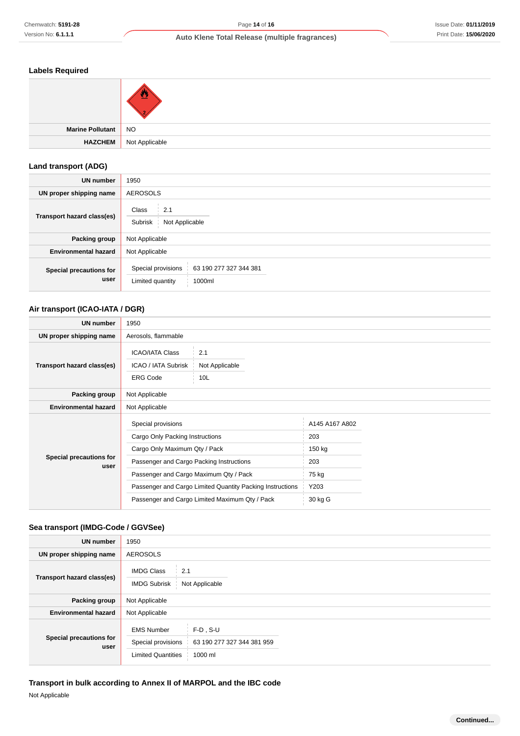## **Labels Required**

| Marine Pollutant NO |                |
|---------------------|----------------|
| HAZCHEM             | Not Applicable |

## **Land transport (ADG)**

| <b>UN number</b>                | 1950                                                                       |  |  |
|---------------------------------|----------------------------------------------------------------------------|--|--|
| UN proper shipping name         | <b>AEROSOLS</b>                                                            |  |  |
| Transport hazard class(es)      | Class<br>2.1<br>Subrisk<br>Not Applicable                                  |  |  |
| Packing group                   | Not Applicable                                                             |  |  |
| <b>Environmental hazard</b>     | Not Applicable                                                             |  |  |
| Special precautions for<br>user | Special provisions<br>63 190 277 327 344 381<br>Limited quantity<br>1000ml |  |  |

## **Air transport (ICAO-IATA / DGR)**

| <b>UN number</b>                | 1950                                                                                                                                                                                                                                                                                        |                                                                    |  |
|---------------------------------|---------------------------------------------------------------------------------------------------------------------------------------------------------------------------------------------------------------------------------------------------------------------------------------------|--------------------------------------------------------------------|--|
| UN proper shipping name         | Aerosols, flammable                                                                                                                                                                                                                                                                         |                                                                    |  |
| Transport hazard class(es)      | <b>ICAO/IATA Class</b><br>2.1<br>ICAO / IATA Subrisk<br>Not Applicable<br><b>ERG Code</b><br>10 <sub>L</sub>                                                                                                                                                                                |                                                                    |  |
| Packing group                   | Not Applicable                                                                                                                                                                                                                                                                              |                                                                    |  |
| <b>Environmental hazard</b>     | Not Applicable                                                                                                                                                                                                                                                                              |                                                                    |  |
| Special precautions for<br>user | Special provisions<br>Cargo Only Packing Instructions<br>Cargo Only Maximum Qty / Pack<br>Passenger and Cargo Packing Instructions<br>Passenger and Cargo Maximum Qty / Pack<br>Passenger and Cargo Limited Quantity Packing Instructions<br>Passenger and Cargo Limited Maximum Qty / Pack | A145 A167 A802<br>203<br>150 kg<br>203<br>75 kg<br>Y203<br>30 kg G |  |

## **Sea transport (IMDG-Code / GGVSee)**

| <b>UN number</b>                | 1950                                                                 |                                                      |  |  |
|---------------------------------|----------------------------------------------------------------------|------------------------------------------------------|--|--|
| UN proper shipping name         | <b>AEROSOLS</b>                                                      |                                                      |  |  |
| Transport hazard class(es)      | <b>IMDG Class</b><br>2.1<br>Not Applicable<br><b>IMDG Subrisk</b>    |                                                      |  |  |
| Packing group                   | Not Applicable                                                       |                                                      |  |  |
| <b>Environmental hazard</b>     | Not Applicable                                                       |                                                      |  |  |
| Special precautions for<br>user | <b>EMS Number</b><br>Special provisions<br><b>Limited Quantities</b> | $F-D$ , S-U<br>63 190 277 327 344 381 959<br>1000 ml |  |  |

# **Transport in bulk according to Annex II of MARPOL and the IBC code**

Not Applicable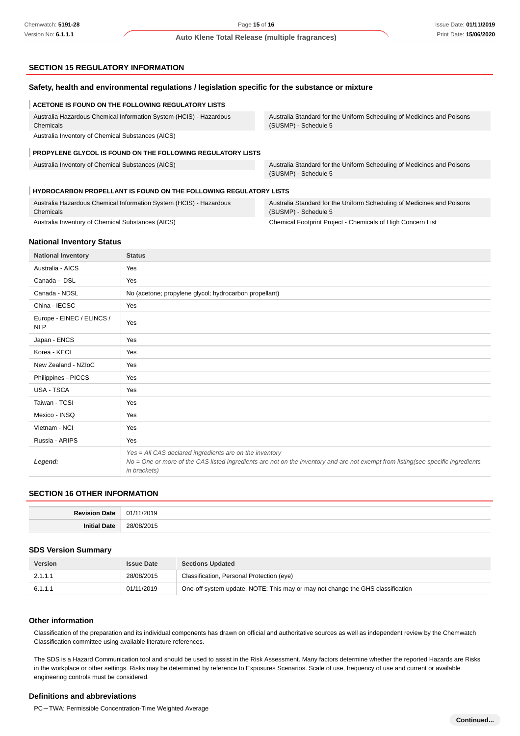## **SECTION 15 REGULATORY INFORMATION**

## **Safety, health and environmental regulations / legislation specific for the substance or mixture**

#### **ACETONE IS FOUND ON THE FOLLOWING REGULATORY LISTS**

Australia Hazardous Chemical Information System (HCIS) - Hazardous Chemicals Australia Inventory of Chemical Substances (AICS)

Australia Standard for the Uniform Scheduling of Medicines and Poisons (SUSMP) - Schedule 5

#### **PROPYLENE GLYCOL IS FOUND ON THE FOLLOWING REGULATORY LISTS**

Australia Inventory of Chemical Substances (AICS) Australia Standard for the Uniform Scheduling of Medicines and Poisons (SUSMP) - Schedule 5

#### **HYDROCARBON PROPELLANT IS FOUND ON THE FOLLOWING REGULATORY LISTS**

| Australia Hazardous Chemical Information System (HCIS) - Hazardous | Australia Standard for the Uniform Scheduling of Medicines and Poisons |
|--------------------------------------------------------------------|------------------------------------------------------------------------|
| Chemicals                                                          | (SUSMP) - Schedule 5                                                   |
| Australia Inventory of Chemical Substances (AICS)                  | Chemical Footprint Project - Chemicals of High Concern List            |

#### **National Inventory Status**

| <b>National Inventory</b>               | <b>Status</b>                                                                                                                                                                                               |  |
|-----------------------------------------|-------------------------------------------------------------------------------------------------------------------------------------------------------------------------------------------------------------|--|
| Australia - AICS                        | Yes                                                                                                                                                                                                         |  |
| Canada - DSL                            | Yes                                                                                                                                                                                                         |  |
| Canada - NDSL                           | No (acetone; propylene glycol; hydrocarbon propellant)                                                                                                                                                      |  |
| China - IECSC                           | Yes                                                                                                                                                                                                         |  |
| Europe - EINEC / ELINCS /<br><b>NLP</b> | Yes                                                                                                                                                                                                         |  |
| Japan - ENCS                            | Yes                                                                                                                                                                                                         |  |
| Korea - KECI                            | Yes                                                                                                                                                                                                         |  |
| New Zealand - NZIoC                     | Yes                                                                                                                                                                                                         |  |
| Philippines - PICCS                     | Yes                                                                                                                                                                                                         |  |
| USA - TSCA                              | Yes                                                                                                                                                                                                         |  |
| Taiwan - TCSI                           | Yes                                                                                                                                                                                                         |  |
| Mexico - INSQ                           | Yes                                                                                                                                                                                                         |  |
| Vietnam - NCI                           | Yes                                                                                                                                                                                                         |  |
| Russia - ARIPS                          | Yes                                                                                                                                                                                                         |  |
| Legend:                                 | Yes = All CAS declared ingredients are on the inventory<br>No = One or more of the CAS listed ingredients are not on the inventory and are not exempt from listing(see specific ingredients<br>in brackets) |  |

## **SECTION 16 OTHER INFORMATION**

| <b>Dovieu</b><br>Date |    |
|-----------------------|----|
| Init<br>Date<br>      | າຂ |

## **SDS Version Summary**

| <b>Version</b> | <b>Issue Date</b> | <b>Sections Updated</b>                                                        |
|----------------|-------------------|--------------------------------------------------------------------------------|
| 2.1.1.1        | 28/08/2015        | Classification, Personal Protection (eye)                                      |
| 6.1.1.1        | 01/11/2019        | One-off system update. NOTE: This may or may not change the GHS classification |

#### **Other information**

Classification of the preparation and its individual components has drawn on official and authoritative sources as well as independent review by the Chemwatch Classification committee using available literature references.

The SDS is a Hazard Communication tool and should be used to assist in the Risk Assessment. Many factors determine whether the reported Hazards are Risks in the workplace or other settings. Risks may be determined by reference to Exposures Scenarios. Scale of use, frequency of use and current or available engineering controls must be considered.

#### **Definitions and abbreviations**

PC-TWA: Permissible Concentration-Time Weighted Average